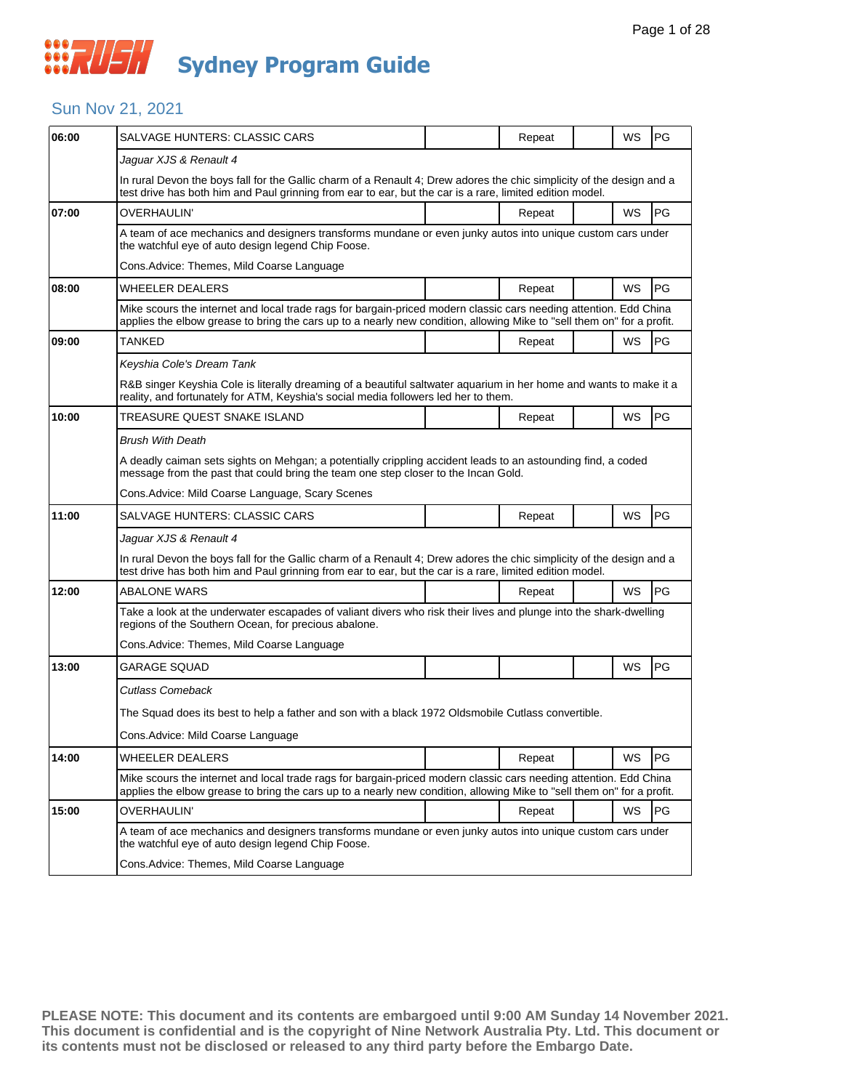

#### Sun Nov 21, 2021

| 06:00 | SALVAGE HUNTERS: CLASSIC CARS                                                                                                                                                                                                               |  | Repeat |  | WS        | PG        |  |  |  |
|-------|---------------------------------------------------------------------------------------------------------------------------------------------------------------------------------------------------------------------------------------------|--|--------|--|-----------|-----------|--|--|--|
|       | Jaguar XJS & Renault 4                                                                                                                                                                                                                      |  |        |  |           |           |  |  |  |
|       | In rural Devon the boys fall for the Gallic charm of a Renault 4; Drew adores the chic simplicity of the design and a<br>test drive has both him and Paul grinning from ear to ear, but the car is a rare, limited edition model.           |  |        |  |           |           |  |  |  |
| 07:00 | OVERHAULIN'                                                                                                                                                                                                                                 |  | Repeat |  | <b>WS</b> | PG        |  |  |  |
|       | A team of ace mechanics and designers transforms mundane or even junky autos into unique custom cars under<br>the watchful eye of auto design legend Chip Foose.                                                                            |  |        |  |           |           |  |  |  |
|       | Cons. Advice: Themes, Mild Coarse Language                                                                                                                                                                                                  |  |        |  |           |           |  |  |  |
| 08:00 | WHEELER DEALERS                                                                                                                                                                                                                             |  | Repeat |  | <b>WS</b> | <b>PG</b> |  |  |  |
|       | Mike scours the internet and local trade rags for bargain-priced modern classic cars needing attention. Edd China<br>applies the elbow grease to bring the cars up to a nearly new condition, allowing Mike to "sell them on" for a profit. |  |        |  |           |           |  |  |  |
| 09:00 | TANKED                                                                                                                                                                                                                                      |  | Repeat |  | WS        | <b>PG</b> |  |  |  |
|       | Keyshia Cole's Dream Tank                                                                                                                                                                                                                   |  |        |  |           |           |  |  |  |
|       | R&B singer Keyshia Cole is literally dreaming of a beautiful saltwater aquarium in her home and wants to make it a<br>reality, and fortunately for ATM, Keyshia's social media followers led her to them.                                   |  |        |  |           |           |  |  |  |
| 10:00 | TREASURE QUEST SNAKE ISLAND                                                                                                                                                                                                                 |  | Repeat |  | WS        | PG        |  |  |  |
|       | Brush With Death                                                                                                                                                                                                                            |  |        |  |           |           |  |  |  |
|       | A deadly caiman sets sights on Mehgan; a potentially crippling accident leads to an astounding find, a coded<br>message from the past that could bring the team one step closer to the Incan Gold.                                          |  |        |  |           |           |  |  |  |
|       | Cons.Advice: Mild Coarse Language, Scary Scenes                                                                                                                                                                                             |  |        |  |           |           |  |  |  |
| 11:00 | SALVAGE HUNTERS: CLASSIC CARS                                                                                                                                                                                                               |  | Repeat |  | WS        | <b>PG</b> |  |  |  |
|       | Jaguar XJS & Renault 4                                                                                                                                                                                                                      |  |        |  |           |           |  |  |  |
|       | In rural Devon the boys fall for the Gallic charm of a Renault 4; Drew adores the chic simplicity of the design and a<br>test drive has both him and Paul grinning from ear to ear, but the car is a rare, limited edition model.           |  |        |  |           |           |  |  |  |
| 12:00 | <b>ABALONE WARS</b>                                                                                                                                                                                                                         |  | Repeat |  | <b>WS</b> | PG        |  |  |  |
|       | Take a look at the underwater escapades of valiant divers who risk their lives and plunge into the shark-dwelling<br>regions of the Southern Ocean, for precious abalone.                                                                   |  |        |  |           |           |  |  |  |
|       | Cons. Advice: Themes, Mild Coarse Language                                                                                                                                                                                                  |  |        |  |           |           |  |  |  |
| 13:00 | GARAGE SQUAD                                                                                                                                                                                                                                |  |        |  | WS        | PG        |  |  |  |
|       | Cutlass Comeback                                                                                                                                                                                                                            |  |        |  |           |           |  |  |  |
|       | The Squad does its best to help a father and son with a black 1972 Oldsmobile Cutlass convertible.                                                                                                                                          |  |        |  |           |           |  |  |  |
|       | Cons.Advice: Mild Coarse Language                                                                                                                                                                                                           |  |        |  |           |           |  |  |  |
| 14:00 | <b>WHEELER DEALERS</b>                                                                                                                                                                                                                      |  | Repeat |  | WS        | PG        |  |  |  |
|       | Mike scours the internet and local trade rags for bargain-priced modern classic cars needing attention. Edd China<br>applies the elbow grease to bring the cars up to a nearly new condition, allowing Mike to "sell them on" for a profit. |  |        |  |           |           |  |  |  |
| 15:00 | OVERHAULIN'                                                                                                                                                                                                                                 |  | Repeat |  | WS        | PG        |  |  |  |
|       | A team of ace mechanics and designers transforms mundane or even junky autos into unique custom cars under<br>the watchful eye of auto design legend Chip Foose.                                                                            |  |        |  |           |           |  |  |  |
|       | Cons.Advice: Themes, Mild Coarse Language                                                                                                                                                                                                   |  |        |  |           |           |  |  |  |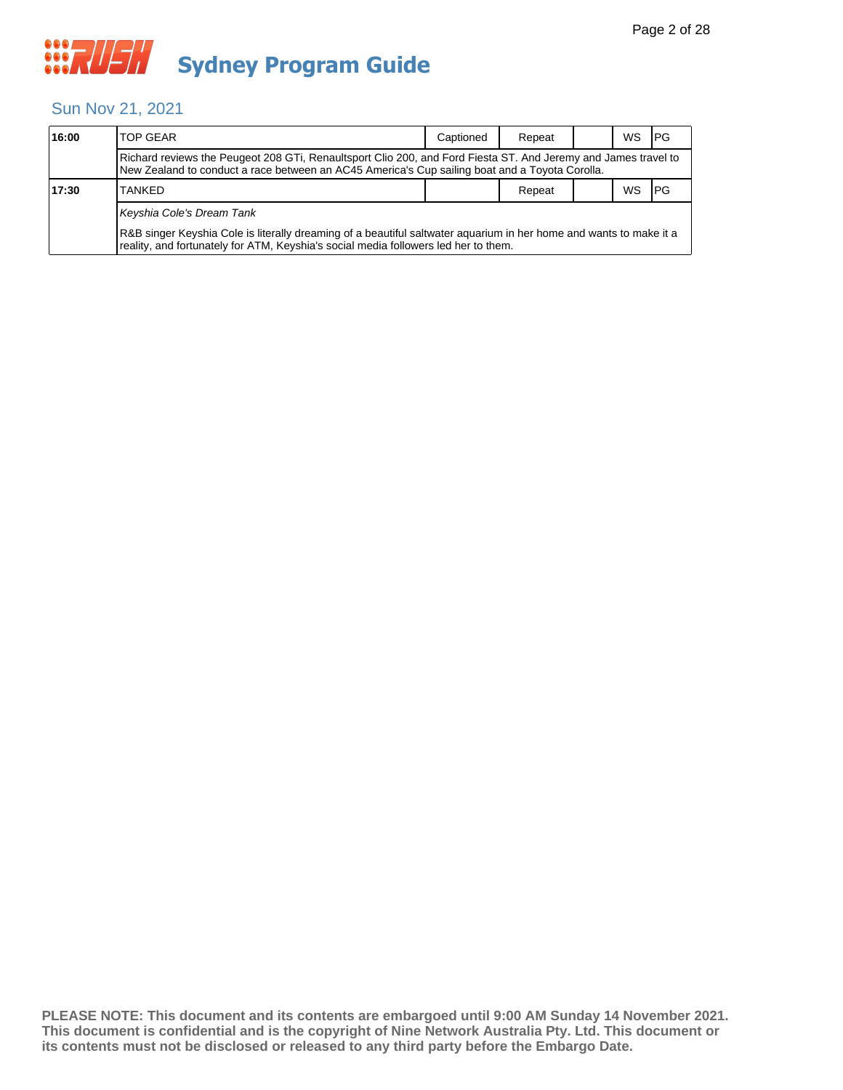#### Sun Nov 21, 2021

| 16:00 | <b>TOP GEAR</b>                                                                                                                                                                                                  | Captioned | Repeat |  | WS. | <b>IPG</b> |  |  |  |
|-------|------------------------------------------------------------------------------------------------------------------------------------------------------------------------------------------------------------------|-----------|--------|--|-----|------------|--|--|--|
|       | Richard reviews the Peugeot 208 GTi, Renaultsport Clio 200, and Ford Fiesta ST. And Jeremy and James travel to<br>New Zealand to conduct a race between an AC45 America's Cup sailing boat and a Toyota Corolla. |           |        |  |     |            |  |  |  |
| 17:30 | <b>TANKED</b>                                                                                                                                                                                                    |           | Repeat |  | ws  | <b>IPG</b> |  |  |  |
|       | Keyshia Cole's Dream Tank                                                                                                                                                                                        |           |        |  |     |            |  |  |  |
|       | R&B singer Keyshia Cole is literally dreaming of a beautiful saltwater aquarium in her home and wants to make it a<br>reality, and fortunately for ATM, Keyshia's social media followers led her to them.        |           |        |  |     |            |  |  |  |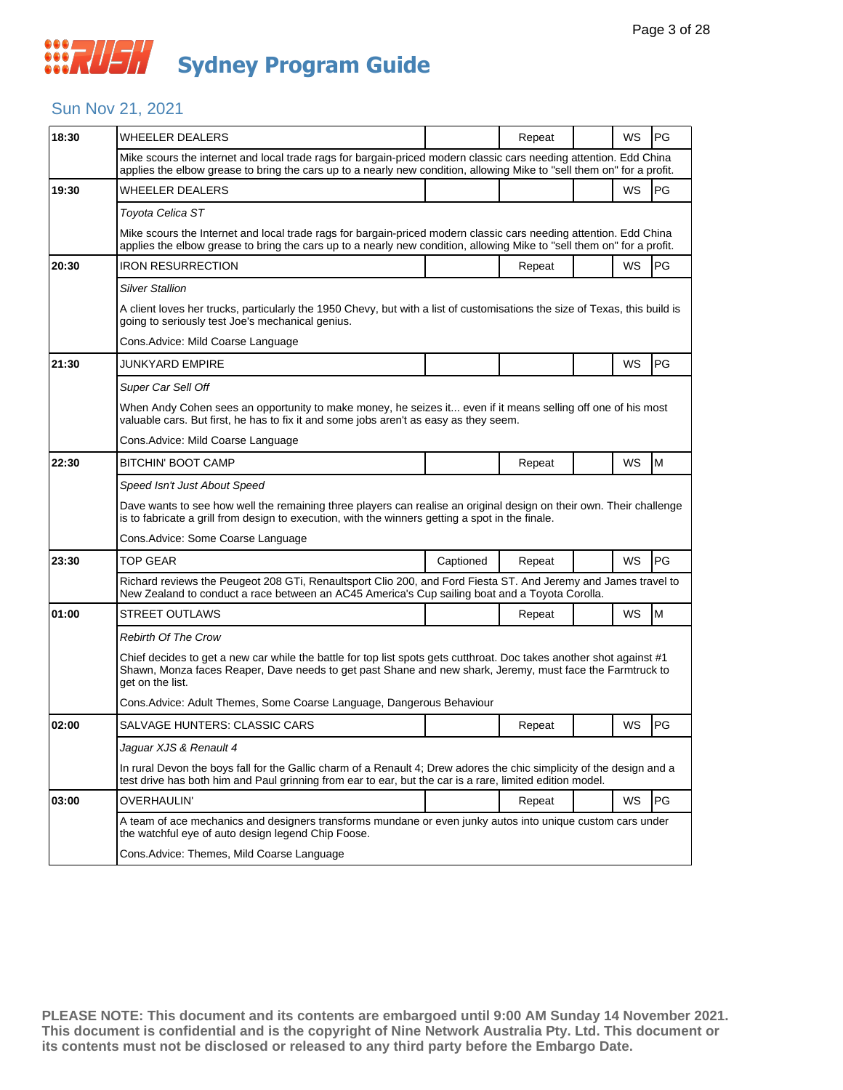#### Sun Nov 21, 2021

| 18:30 | <b>WHEELER DEALERS</b>                                                                                                                                                                                                                                |           | Repeat |  | WS        | PG |  |  |
|-------|-------------------------------------------------------------------------------------------------------------------------------------------------------------------------------------------------------------------------------------------------------|-----------|--------|--|-----------|----|--|--|
|       | Mike scours the internet and local trade rags for bargain-priced modern classic cars needing attention. Edd China<br>applies the elbow grease to bring the cars up to a nearly new condition, allowing Mike to "sell them on" for a profit.           |           |        |  |           |    |  |  |
| 19:30 | WHEELER DEALERS                                                                                                                                                                                                                                       |           |        |  | <b>WS</b> | PG |  |  |
|       | Toyota Celica ST                                                                                                                                                                                                                                      |           |        |  |           |    |  |  |
|       | Mike scours the Internet and local trade rags for bargain-priced modern classic cars needing attention. Edd China<br>applies the elbow grease to bring the cars up to a nearly new condition, allowing Mike to "sell them on" for a profit.           |           |        |  |           |    |  |  |
| 20:30 | <b>IRON RESURRECTION</b>                                                                                                                                                                                                                              |           | Repeat |  | WS        | PG |  |  |
|       | <b>Silver Stallion</b>                                                                                                                                                                                                                                |           |        |  |           |    |  |  |
|       | A client loves her trucks, particularly the 1950 Chevy, but with a list of customisations the size of Texas, this build is<br>going to seriously test Joe's mechanical genius.                                                                        |           |        |  |           |    |  |  |
|       | Cons. Advice: Mild Coarse Language                                                                                                                                                                                                                    |           |        |  |           |    |  |  |
| 21:30 | JUNKYARD EMPIRE                                                                                                                                                                                                                                       |           |        |  | WS        | PG |  |  |
|       | Super Car Sell Off                                                                                                                                                                                                                                    |           |        |  |           |    |  |  |
|       | When Andy Cohen sees an opportunity to make money, he seizes it even if it means selling off one of his most<br>valuable cars. But first, he has to fix it and some jobs aren't as easy as they seem.                                                 |           |        |  |           |    |  |  |
|       | Cons. Advice: Mild Coarse Language                                                                                                                                                                                                                    |           |        |  |           |    |  |  |
| 22:30 | BITCHIN' BOOT CAMP                                                                                                                                                                                                                                    |           | Repeat |  | WS        | M  |  |  |
|       | Speed Isn't Just About Speed                                                                                                                                                                                                                          |           |        |  |           |    |  |  |
|       | Dave wants to see how well the remaining three players can realise an original design on their own. Their challenge<br>is to fabricate a grill from design to execution, with the winners getting a spot in the finale.                               |           |        |  |           |    |  |  |
|       | Cons. Advice: Some Coarse Language                                                                                                                                                                                                                    |           |        |  |           |    |  |  |
| 23:30 | TOP GEAR                                                                                                                                                                                                                                              | Captioned | Repeat |  | WS        | PG |  |  |
|       | Richard reviews the Peugeot 208 GTi, Renaultsport Clio 200, and Ford Fiesta ST. And Jeremy and James travel to<br>New Zealand to conduct a race between an AC45 America's Cup sailing boat and a Toyota Corolla.                                      |           |        |  |           |    |  |  |
|       |                                                                                                                                                                                                                                                       |           |        |  |           |    |  |  |
| 01:00 | <b>STREET OUTLAWS</b>                                                                                                                                                                                                                                 |           | Repeat |  | WS        | M  |  |  |
|       | Rebirth Of The Crow                                                                                                                                                                                                                                   |           |        |  |           |    |  |  |
|       | Chief decides to get a new car while the battle for top list spots gets cutthroat. Doc takes another shot against #1<br>Shawn, Monza faces Reaper, Dave needs to get past Shane and new shark, Jeremy, must face the Farmtruck to<br>get on the list. |           |        |  |           |    |  |  |
|       | Cons. Advice: Adult Themes, Some Coarse Language, Dangerous Behaviour                                                                                                                                                                                 |           |        |  |           |    |  |  |
| 02:00 | SALVAGE HUNTERS: CLASSIC CARS                                                                                                                                                                                                                         |           | Repeat |  | WS        | PG |  |  |
|       | Jaguar XJS & Renault 4                                                                                                                                                                                                                                |           |        |  |           |    |  |  |
|       | In rural Devon the boys fall for the Gallic charm of a Renault 4; Drew adores the chic simplicity of the design and a<br>test drive has both him and Paul grinning from ear to ear, but the car is a rare, limited edition model.                     |           |        |  |           |    |  |  |
| 03:00 | OVERHAULIN'                                                                                                                                                                                                                                           |           | Repeat |  | WS        | PG |  |  |
|       | A team of ace mechanics and designers transforms mundane or even junky autos into unique custom cars under<br>the watchful eye of auto design legend Chip Foose.                                                                                      |           |        |  |           |    |  |  |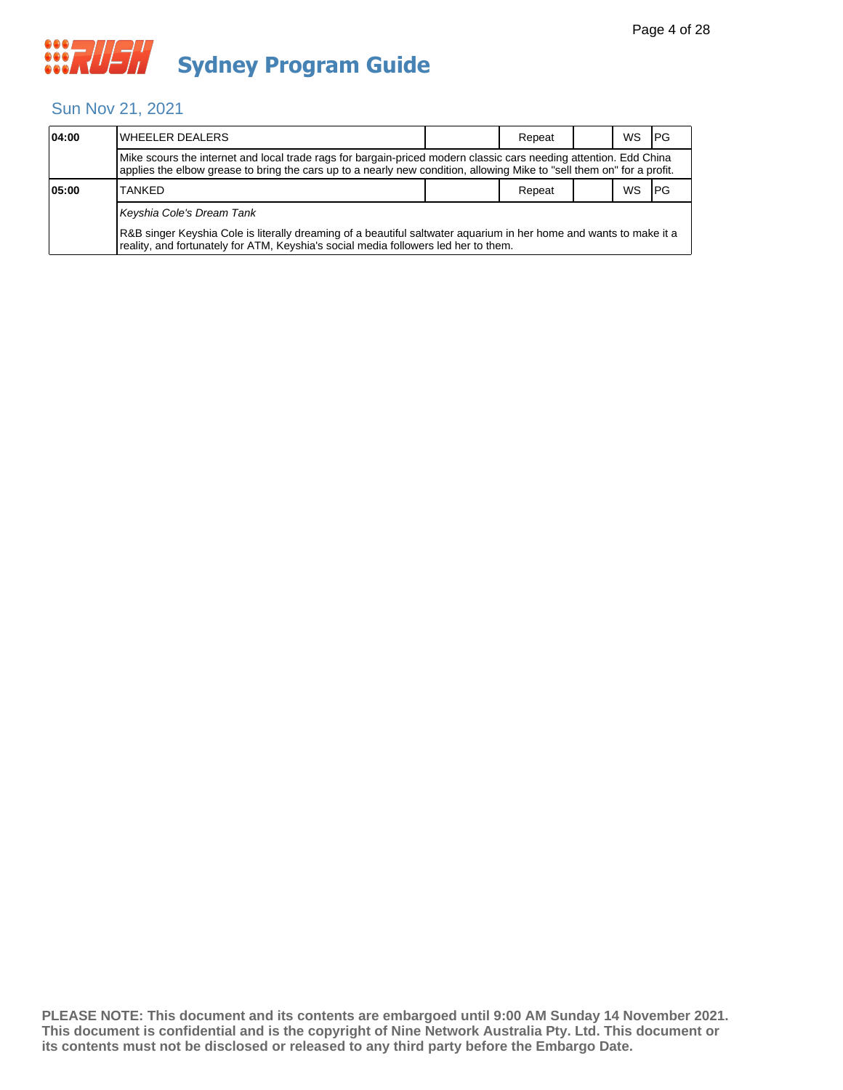

#### Sun Nov 21, 2021

| 04:00 | <b>I</b> WHEELER DEALERS                                                                                                                                                                                                                    |  | Repeat |  | <b>WS</b> | <b>IPG</b> |  |  |  |
|-------|---------------------------------------------------------------------------------------------------------------------------------------------------------------------------------------------------------------------------------------------|--|--------|--|-----------|------------|--|--|--|
|       | Mike scours the internet and local trade rags for bargain-priced modern classic cars needing attention. Edd China<br>applies the elbow grease to bring the cars up to a nearly new condition, allowing Mike to "sell them on" for a profit. |  |        |  |           |            |  |  |  |
| 05:00 | ws<br><b>TANKED</b><br>Repeat                                                                                                                                                                                                               |  |        |  |           |            |  |  |  |
|       | Keyshia Cole's Dream Tank                                                                                                                                                                                                                   |  |        |  |           |            |  |  |  |
|       | R&B singer Keyshia Cole is literally dreaming of a beautiful saltwater aquarium in her home and wants to make it a<br>reality, and fortunately for ATM, Keyshia's social media followers led her to them.                                   |  |        |  |           |            |  |  |  |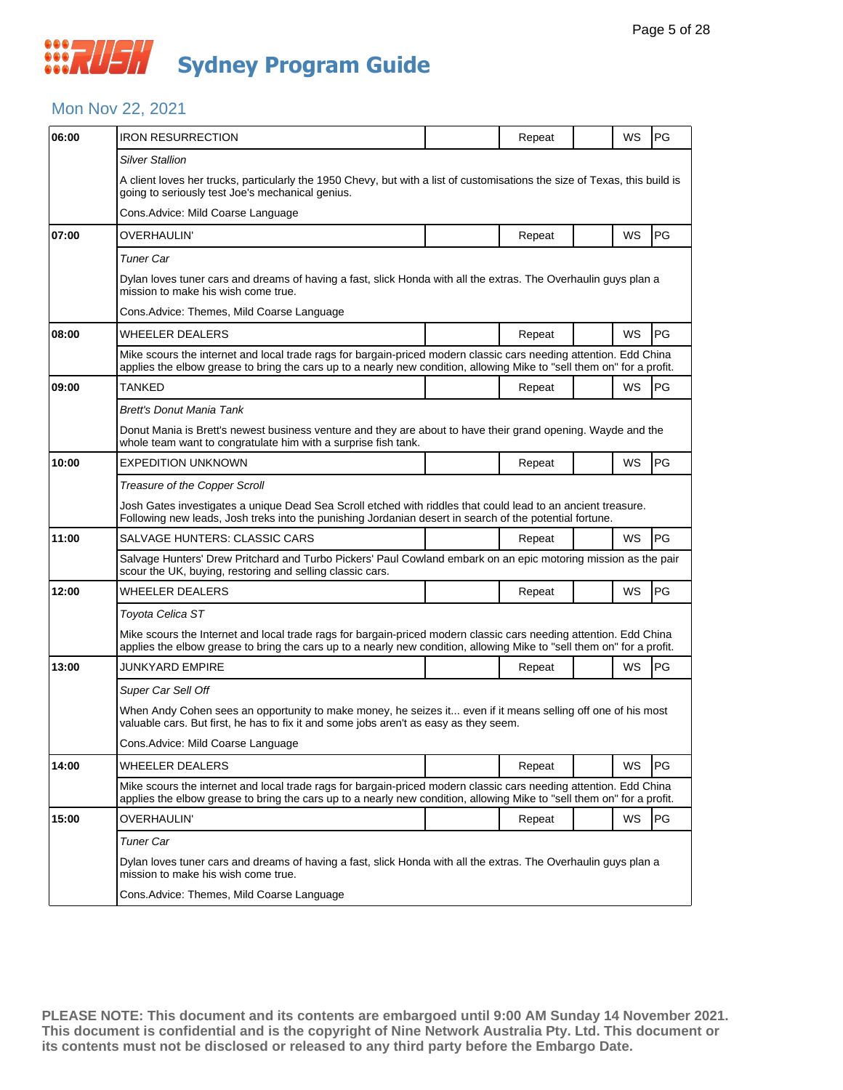### **WAUSH Sydney Program Guide**

#### Mon Nov 22, 2021

| 06:00 | <b>IRON RESURRECTION</b>                                                                                                                                                                                                                    |  | Repeat |  | WS        | <b>PG</b> |  |  |  |
|-------|---------------------------------------------------------------------------------------------------------------------------------------------------------------------------------------------------------------------------------------------|--|--------|--|-----------|-----------|--|--|--|
|       | Silver Stallion                                                                                                                                                                                                                             |  |        |  |           |           |  |  |  |
|       | A client loves her trucks, particularly the 1950 Chevy, but with a list of customisations the size of Texas, this build is<br>going to seriously test Joe's mechanical genius.                                                              |  |        |  |           |           |  |  |  |
|       | Cons. Advice: Mild Coarse Language                                                                                                                                                                                                          |  |        |  |           |           |  |  |  |
| 07:00 | OVERHAULIN'                                                                                                                                                                                                                                 |  | Repeat |  | WS        | PG        |  |  |  |
|       | Tuner Car                                                                                                                                                                                                                                   |  |        |  |           |           |  |  |  |
|       | Dylan loves tuner cars and dreams of having a fast, slick Honda with all the extras. The Overhaulin guys plan a<br>mission to make his wish come true.                                                                                      |  |        |  |           |           |  |  |  |
|       | Cons. Advice: Themes, Mild Coarse Language                                                                                                                                                                                                  |  |        |  |           |           |  |  |  |
| 08:00 | WHEELER DEALERS                                                                                                                                                                                                                             |  | Repeat |  | <b>WS</b> | PG        |  |  |  |
|       | Mike scours the internet and local trade rags for bargain-priced modern classic cars needing attention. Edd China<br>applies the elbow grease to bring the cars up to a nearly new condition, allowing Mike to "sell them on" for a profit. |  |        |  |           |           |  |  |  |
| 09:00 | TANKED                                                                                                                                                                                                                                      |  | Repeat |  | WS        | <b>PG</b> |  |  |  |
|       | Brett's Donut Mania Tank                                                                                                                                                                                                                    |  |        |  |           |           |  |  |  |
|       | Donut Mania is Brett's newest business venture and they are about to have their grand opening. Wayde and the<br>whole team want to congratulate him with a surprise fish tank.                                                              |  |        |  |           |           |  |  |  |
| 10:00 | EXPEDITION UNKNOWN                                                                                                                                                                                                                          |  | Repeat |  | WS        | PG        |  |  |  |
|       | Treasure of the Copper Scroll                                                                                                                                                                                                               |  |        |  |           |           |  |  |  |
|       | Josh Gates investigates a unique Dead Sea Scroll etched with riddles that could lead to an ancient treasure.<br>Following new leads, Josh treks into the punishing Jordanian desert in search of the potential fortune.                     |  |        |  |           |           |  |  |  |
| 11:00 | SALVAGE HUNTERS: CLASSIC CARS                                                                                                                                                                                                               |  | Repeat |  | <b>WS</b> | PG        |  |  |  |
|       | Salvage Hunters' Drew Pritchard and Turbo Pickers' Paul Cowland embark on an epic motoring mission as the pair<br>scour the UK, buying, restoring and selling classic cars.                                                                 |  |        |  |           |           |  |  |  |
| 12:00 | WHEELER DEALERS                                                                                                                                                                                                                             |  | Repeat |  | WS        | PG        |  |  |  |
|       | Toyota Celica ST                                                                                                                                                                                                                            |  |        |  |           |           |  |  |  |
|       | Mike scours the Internet and local trade rags for bargain-priced modern classic cars needing attention. Edd China<br>applies the elbow grease to bring the cars up to a nearly new condition, allowing Mike to "sell them on" for a profit. |  |        |  |           |           |  |  |  |
| 13:00 | JUNKYARD EMPIRE                                                                                                                                                                                                                             |  | Repeat |  | WS        | <b>PG</b> |  |  |  |
|       | Super Car Sell Off                                                                                                                                                                                                                          |  |        |  |           |           |  |  |  |
|       | When Andy Cohen sees an opportunity to make money, he seizes it even if it means selling off one of his most<br>valuable cars. But first, he has to fix it and some jobs aren't as easy as they seem.                                       |  |        |  |           |           |  |  |  |
|       | Cons.Advice: Mild Coarse Language                                                                                                                                                                                                           |  |        |  |           |           |  |  |  |
| 14:00 | WHEELER DEALERS                                                                                                                                                                                                                             |  | Repeat |  | WS        | PG        |  |  |  |
|       | Mike scours the internet and local trade rags for bargain-priced modern classic cars needing attention. Edd China<br>applies the elbow grease to bring the cars up to a nearly new condition, allowing Mike to "sell them on" for a profit. |  |        |  |           |           |  |  |  |
| 15:00 | OVERHAULIN'                                                                                                                                                                                                                                 |  | Repeat |  | WS        | PG        |  |  |  |
|       | Tuner Car                                                                                                                                                                                                                                   |  |        |  |           |           |  |  |  |
|       | Dylan loves tuner cars and dreams of having a fast, slick Honda with all the extras. The Overhaulin guys plan a<br>mission to make his wish come true.                                                                                      |  |        |  |           |           |  |  |  |
|       | Cons. Advice: Themes, Mild Coarse Language                                                                                                                                                                                                  |  |        |  |           |           |  |  |  |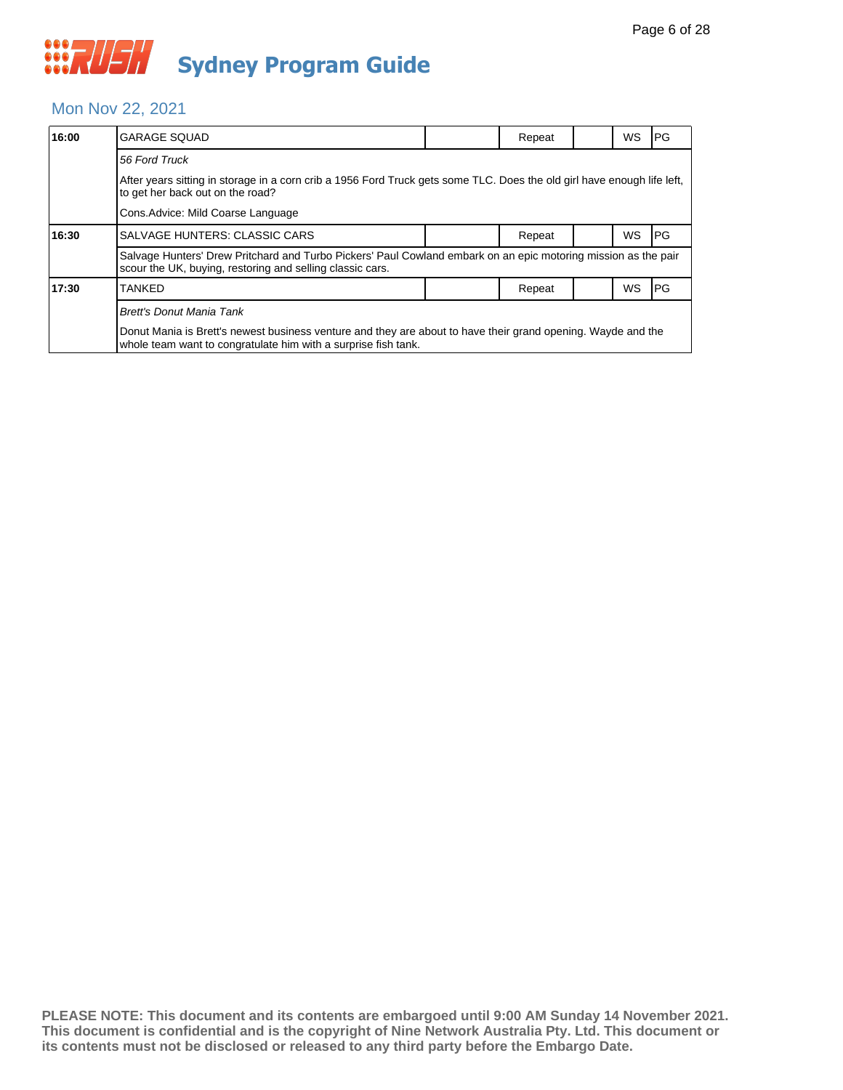#### Mon Nov 22, 2021

| 16:00 | <b>GARAGE SQUAD</b>                                                                                                                                                            |  | Repeat |  | <b>WS</b> | <b>PG</b> |  |  |  |
|-------|--------------------------------------------------------------------------------------------------------------------------------------------------------------------------------|--|--------|--|-----------|-----------|--|--|--|
|       | 56 Ford Truck                                                                                                                                                                  |  |        |  |           |           |  |  |  |
|       | After years sitting in storage in a corn crib a 1956 Ford Truck gets some TLC. Does the old girl have enough life left,<br>to get her back out on the road?                    |  |        |  |           |           |  |  |  |
|       | Cons. Advice: Mild Coarse Language                                                                                                                                             |  |        |  |           |           |  |  |  |
| 16:30 | SALVAGE HUNTERS: CLASSIC CARS                                                                                                                                                  |  | Repeat |  | <b>WS</b> | PG        |  |  |  |
|       | Salvage Hunters' Drew Pritchard and Turbo Pickers' Paul Cowland embark on an epic motoring mission as the pair<br>scour the UK, buying, restoring and selling classic cars.    |  |        |  |           |           |  |  |  |
| 17:30 | <b>TANKED</b>                                                                                                                                                                  |  | Repeat |  | WS        | PG        |  |  |  |
|       | <b>Brett's Donut Mania Tank</b>                                                                                                                                                |  |        |  |           |           |  |  |  |
|       | Donut Mania is Brett's newest business venture and they are about to have their grand opening. Wayde and the<br>whole team want to congratulate him with a surprise fish tank. |  |        |  |           |           |  |  |  |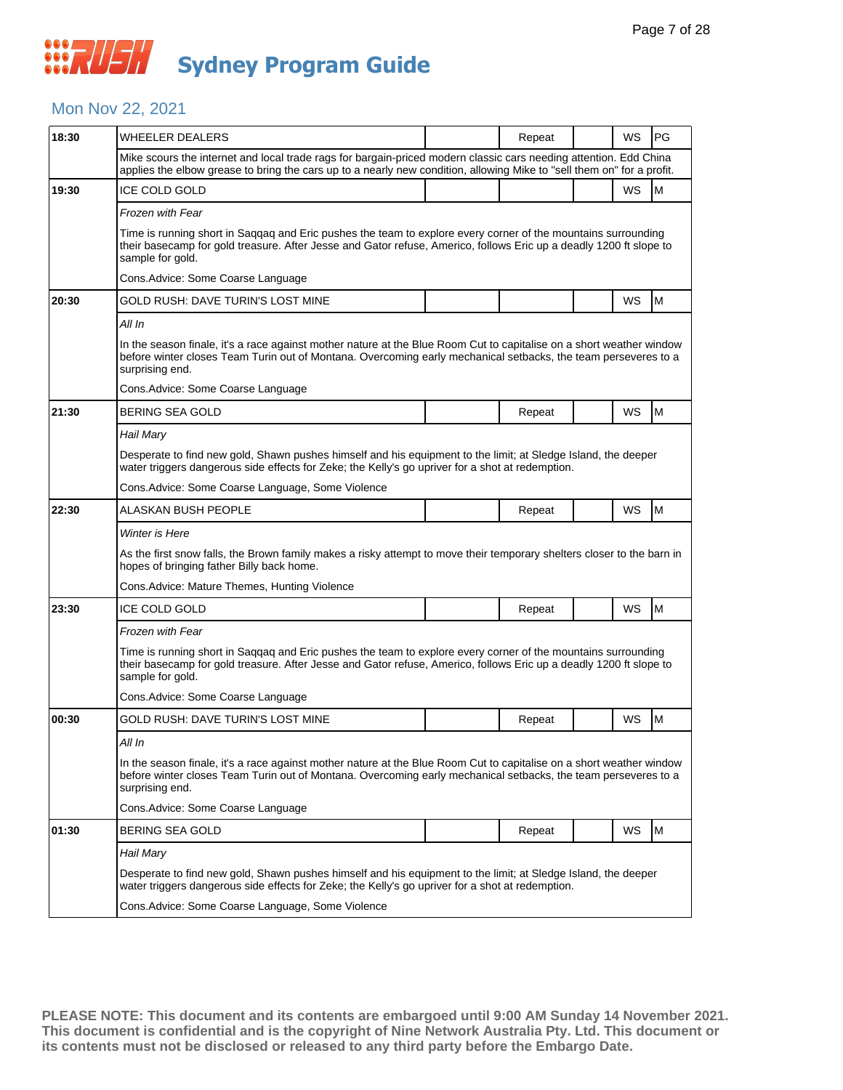#### Mon Nov 22, 2021

| 18:30 | WHEELER DEALERS                                                                                                                                                                                                                                           |  | Repeat |  | WS | PG        |  |  |  |
|-------|-----------------------------------------------------------------------------------------------------------------------------------------------------------------------------------------------------------------------------------------------------------|--|--------|--|----|-----------|--|--|--|
|       | Mike scours the internet and local trade rags for bargain-priced modern classic cars needing attention. Edd China<br>applies the elbow grease to bring the cars up to a nearly new condition, allowing Mike to "sell them on" for a profit.               |  |        |  |    |           |  |  |  |
| 19:30 | <b>ICE COLD GOLD</b>                                                                                                                                                                                                                                      |  |        |  | WS | M         |  |  |  |
|       | <b>Frozen with Fear</b>                                                                                                                                                                                                                                   |  |        |  |    |           |  |  |  |
|       | Time is running short in Saqqaq and Eric pushes the team to explore every corner of the mountains surrounding<br>their basecamp for gold treasure. After Jesse and Gator refuse, Americo, follows Eric up a deadly 1200 ft slope to<br>sample for gold.   |  |        |  |    |           |  |  |  |
|       | Cons. Advice: Some Coarse Language                                                                                                                                                                                                                        |  |        |  |    |           |  |  |  |
| 20:30 | GOLD RUSH: DAVE TURIN'S LOST MINE                                                                                                                                                                                                                         |  |        |  | WS | M         |  |  |  |
|       | All In                                                                                                                                                                                                                                                    |  |        |  |    |           |  |  |  |
|       | In the season finale, it's a race against mother nature at the Blue Room Cut to capitalise on a short weather window<br>before winter closes Team Turin out of Montana. Overcoming early mechanical setbacks, the team perseveres to a<br>surprising end. |  |        |  |    |           |  |  |  |
|       | Cons.Advice: Some Coarse Language                                                                                                                                                                                                                         |  |        |  |    |           |  |  |  |
| 21:30 | <b>BERING SEA GOLD</b>                                                                                                                                                                                                                                    |  | Repeat |  | WS | ${\sf M}$ |  |  |  |
|       | Hail Mary                                                                                                                                                                                                                                                 |  |        |  |    |           |  |  |  |
|       | Desperate to find new gold, Shawn pushes himself and his equipment to the limit; at Sledge Island, the deeper<br>water triggers dangerous side effects for Zeke; the Kelly's go upriver for a shot at redemption.                                         |  |        |  |    |           |  |  |  |
|       | Cons. Advice: Some Coarse Language, Some Violence                                                                                                                                                                                                         |  |        |  |    |           |  |  |  |
| 22:30 | ALASKAN BUSH PEOPLE                                                                                                                                                                                                                                       |  | Repeat |  | WS | M         |  |  |  |
|       | Winter is Here                                                                                                                                                                                                                                            |  |        |  |    |           |  |  |  |
|       | As the first snow falls, the Brown family makes a risky attempt to move their temporary shelters closer to the barn in<br>hopes of bringing father Billy back home.                                                                                       |  |        |  |    |           |  |  |  |
|       | Cons.Advice: Mature Themes, Hunting Violence                                                                                                                                                                                                              |  |        |  |    |           |  |  |  |
| 23:30 | <b>ICE COLD GOLD</b>                                                                                                                                                                                                                                      |  | Repeat |  | WS | M         |  |  |  |
|       | Frozen with Fear                                                                                                                                                                                                                                          |  |        |  |    |           |  |  |  |
|       | Time is running short in Saqqaq and Eric pushes the team to explore every corner of the mountains surrounding<br>their basecamp for gold treasure. After Jesse and Gator refuse, Americo, follows Eric up a deadly 1200 ft slope to<br>sample for gold.   |  |        |  |    |           |  |  |  |
|       | Cons. Advice: Some Coarse Language                                                                                                                                                                                                                        |  |        |  |    |           |  |  |  |
| 00:30 | GOLD RUSH: DAVE TURIN'S LOST MINE                                                                                                                                                                                                                         |  | Repeat |  | WS | M         |  |  |  |
|       | All In                                                                                                                                                                                                                                                    |  |        |  |    |           |  |  |  |
|       | In the season finale, it's a race against mother nature at the Blue Room Cut to capitalise on a short weather window<br>before winter closes Team Turin out of Montana. Overcoming early mechanical setbacks, the team perseveres to a<br>surprising end. |  |        |  |    |           |  |  |  |
|       | Cons. Advice: Some Coarse Language                                                                                                                                                                                                                        |  |        |  |    |           |  |  |  |
| 01:30 | BERING SEA GOLD                                                                                                                                                                                                                                           |  | Repeat |  | WS | M         |  |  |  |
|       | Hail Mary                                                                                                                                                                                                                                                 |  |        |  |    |           |  |  |  |
|       | Desperate to find new gold, Shawn pushes himself and his equipment to the limit; at Sledge Island, the deeper<br>water triggers dangerous side effects for Zeke; the Kelly's go upriver for a shot at redemption.                                         |  |        |  |    |           |  |  |  |
|       | Cons. Advice: Some Coarse Language, Some Violence                                                                                                                                                                                                         |  |        |  |    |           |  |  |  |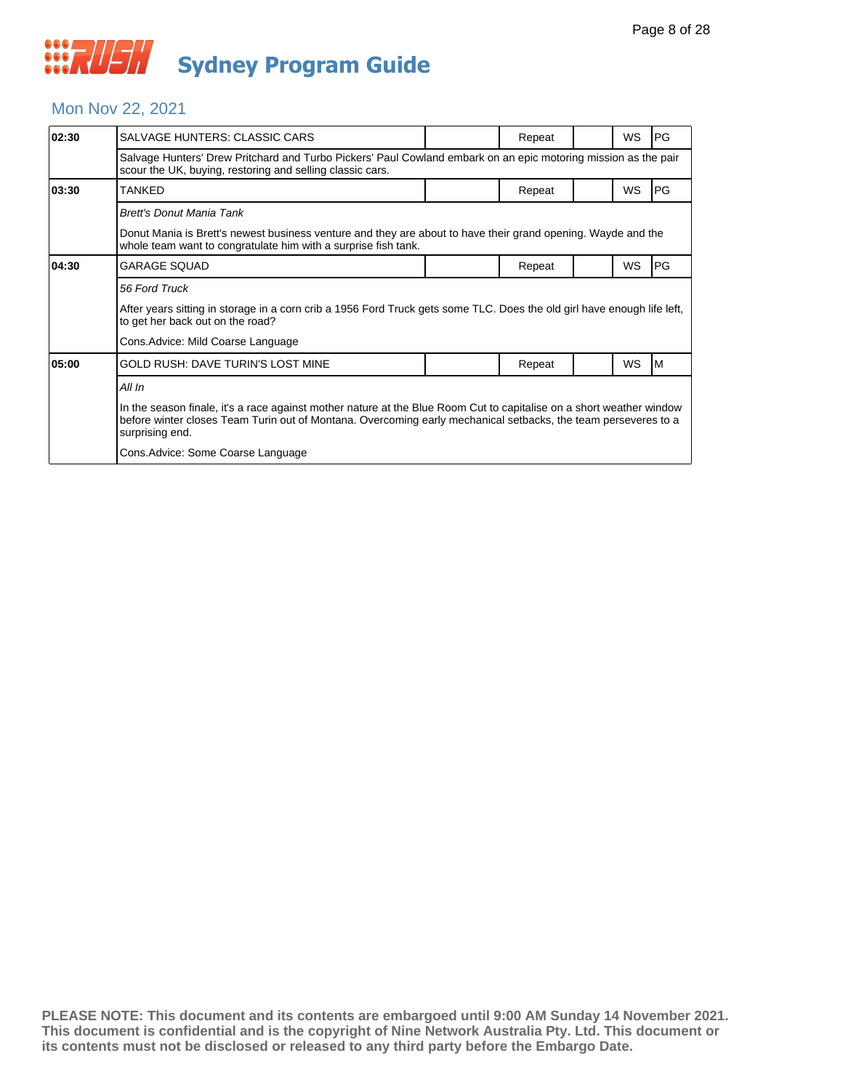#### Mon Nov 22, 2021

| 02:30 | SALVAGE HUNTERS: CLASSIC CARS                                                                                                                                                                                                                             |  | Repeat |  | <b>WS</b> | <b>PG</b>  |  |  |
|-------|-----------------------------------------------------------------------------------------------------------------------------------------------------------------------------------------------------------------------------------------------------------|--|--------|--|-----------|------------|--|--|
|       | Salvage Hunters' Drew Pritchard and Turbo Pickers' Paul Cowland embark on an epic motoring mission as the pair<br>scour the UK, buying, restoring and selling classic cars.                                                                               |  |        |  |           |            |  |  |
| 03:30 | TANKED                                                                                                                                                                                                                                                    |  | Repeat |  | <b>WS</b> | <b>IPG</b> |  |  |
|       | Brett's Donut Mania Tank                                                                                                                                                                                                                                  |  |        |  |           |            |  |  |
|       | Donut Mania is Brett's newest business venture and they are about to have their grand opening. Wayde and the<br>whole team want to congratulate him with a surprise fish tank.                                                                            |  |        |  |           |            |  |  |
| 04:30 | <b>GARAGE SQUAD</b>                                                                                                                                                                                                                                       |  | Repeat |  | WS        | PG         |  |  |
|       | 56 Ford Truck                                                                                                                                                                                                                                             |  |        |  |           |            |  |  |
|       | After years sitting in storage in a corn crib a 1956 Ford Truck gets some TLC. Does the old girl have enough life left,<br>to get her back out on the road?                                                                                               |  |        |  |           |            |  |  |
|       | Cons. Advice: Mild Coarse Language                                                                                                                                                                                                                        |  |        |  |           |            |  |  |
| 05:00 | GOLD RUSH: DAVE TURIN'S LOST MINE                                                                                                                                                                                                                         |  | Repeat |  | <b>WS</b> | IМ         |  |  |
|       | All In                                                                                                                                                                                                                                                    |  |        |  |           |            |  |  |
|       | In the season finale, it's a race against mother nature at the Blue Room Cut to capitalise on a short weather window<br>before winter closes Team Turin out of Montana. Overcoming early mechanical setbacks, the team perseveres to a<br>surprising end. |  |        |  |           |            |  |  |
|       | Cons. Advice: Some Coarse Language                                                                                                                                                                                                                        |  |        |  |           |            |  |  |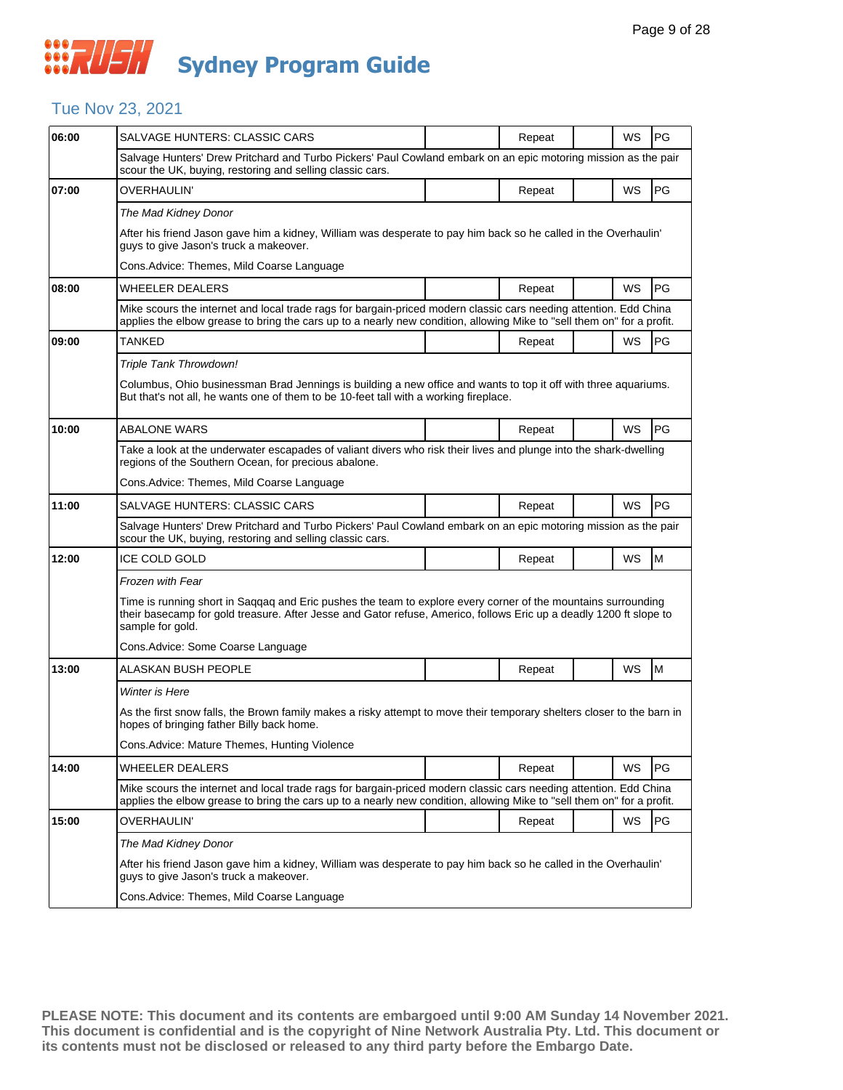#### Tue Nov 23, 2021

| 06:00 | SALVAGE HUNTERS: CLASSIC CARS                                                                                                                                                                                                                           |                                                                                                                                                                                                                                             | Repeat |  | WS | PG |  |  |  |
|-------|---------------------------------------------------------------------------------------------------------------------------------------------------------------------------------------------------------------------------------------------------------|---------------------------------------------------------------------------------------------------------------------------------------------------------------------------------------------------------------------------------------------|--------|--|----|----|--|--|--|
|       | Salvage Hunters' Drew Pritchard and Turbo Pickers' Paul Cowland embark on an epic motoring mission as the pair<br>scour the UK, buying, restoring and selling classic cars.                                                                             |                                                                                                                                                                                                                                             |        |  |    |    |  |  |  |
| 07:00 | <b>OVERHAULIN'</b>                                                                                                                                                                                                                                      |                                                                                                                                                                                                                                             | Repeat |  | WS | PG |  |  |  |
|       | The Mad Kidney Donor                                                                                                                                                                                                                                    |                                                                                                                                                                                                                                             |        |  |    |    |  |  |  |
|       | After his friend Jason gave him a kidney, William was desperate to pay him back so he called in the Overhaulin'<br>guys to give Jason's truck a makeover.                                                                                               |                                                                                                                                                                                                                                             |        |  |    |    |  |  |  |
|       | Cons.Advice: Themes, Mild Coarse Language                                                                                                                                                                                                               |                                                                                                                                                                                                                                             |        |  |    |    |  |  |  |
| 08:00 | <b>WHEELER DEALERS</b>                                                                                                                                                                                                                                  |                                                                                                                                                                                                                                             | Repeat |  | WS | PG |  |  |  |
|       | Mike scours the internet and local trade rags for bargain-priced modern classic cars needing attention. Edd China<br>applies the elbow grease to bring the cars up to a nearly new condition, allowing Mike to "sell them on" for a profit.             |                                                                                                                                                                                                                                             |        |  |    |    |  |  |  |
| 09:00 | TANKED                                                                                                                                                                                                                                                  |                                                                                                                                                                                                                                             | Repeat |  | WS | PG |  |  |  |
|       | Triple Tank Throwdown!                                                                                                                                                                                                                                  |                                                                                                                                                                                                                                             |        |  |    |    |  |  |  |
|       | Columbus, Ohio businessman Brad Jennings is building a new office and wants to top it off with three aquariums.<br>But that's not all, he wants one of them to be 10-feet tall with a working fireplace.                                                |                                                                                                                                                                                                                                             |        |  |    |    |  |  |  |
| 10:00 | <b>ABALONE WARS</b>                                                                                                                                                                                                                                     |                                                                                                                                                                                                                                             | Repeat |  | WS | PG |  |  |  |
|       | Take a look at the underwater escapades of valiant divers who risk their lives and plunge into the shark-dwelling<br>regions of the Southern Ocean, for precious abalone.                                                                               |                                                                                                                                                                                                                                             |        |  |    |    |  |  |  |
|       | Cons. Advice: Themes, Mild Coarse Language                                                                                                                                                                                                              |                                                                                                                                                                                                                                             |        |  |    |    |  |  |  |
| 11:00 | <b>SALVAGE HUNTERS: CLASSIC CARS</b>                                                                                                                                                                                                                    |                                                                                                                                                                                                                                             | Repeat |  | WS | PG |  |  |  |
|       | Salvage Hunters' Drew Pritchard and Turbo Pickers' Paul Cowland embark on an epic motoring mission as the pair<br>scour the UK, buying, restoring and selling classic cars.                                                                             |                                                                                                                                                                                                                                             |        |  |    |    |  |  |  |
| 12:00 | <b>ICE COLD GOLD</b>                                                                                                                                                                                                                                    |                                                                                                                                                                                                                                             | Repeat |  | WS | M  |  |  |  |
|       | Frozen with Fear                                                                                                                                                                                                                                        |                                                                                                                                                                                                                                             |        |  |    |    |  |  |  |
|       | Time is running short in Saggag and Eric pushes the team to explore every corner of the mountains surrounding<br>their basecamp for gold treasure. After Jesse and Gator refuse, Americo, follows Eric up a deadly 1200 ft slope to<br>sample for gold. |                                                                                                                                                                                                                                             |        |  |    |    |  |  |  |
|       | Cons. Advice: Some Coarse Language                                                                                                                                                                                                                      |                                                                                                                                                                                                                                             |        |  |    |    |  |  |  |
| 13:00 | ALASKAN BUSH PEOPLE                                                                                                                                                                                                                                     |                                                                                                                                                                                                                                             | Repeat |  | WS | M  |  |  |  |
|       | Winter is Here                                                                                                                                                                                                                                          |                                                                                                                                                                                                                                             |        |  |    |    |  |  |  |
|       | As the first snow falls, the Brown family makes a risky attempt to move their temporary shelters closer to the barn in<br>hopes of bringing father Billy back home.                                                                                     |                                                                                                                                                                                                                                             |        |  |    |    |  |  |  |
|       | Cons. Advice: Mature Themes, Hunting Violence                                                                                                                                                                                                           |                                                                                                                                                                                                                                             |        |  |    |    |  |  |  |
| 14:00 | WHEELER DEALERS                                                                                                                                                                                                                                         |                                                                                                                                                                                                                                             | Repeat |  | WS | PG |  |  |  |
|       |                                                                                                                                                                                                                                                         | Mike scours the internet and local trade rags for bargain-priced modern classic cars needing attention. Edd China<br>applies the elbow grease to bring the cars up to a nearly new condition, allowing Mike to "sell them on" for a profit. |        |  |    |    |  |  |  |
| 15:00 | <b>OVERHAULIN'</b>                                                                                                                                                                                                                                      |                                                                                                                                                                                                                                             | Repeat |  | WS | PG |  |  |  |
|       | The Mad Kidney Donor                                                                                                                                                                                                                                    |                                                                                                                                                                                                                                             |        |  |    |    |  |  |  |
|       | After his friend Jason gave him a kidney, William was desperate to pay him back so he called in the Overhaulin'<br>quys to give Jason's truck a makeover.                                                                                               |                                                                                                                                                                                                                                             |        |  |    |    |  |  |  |
|       | Cons.Advice: Themes, Mild Coarse Language                                                                                                                                                                                                               |                                                                                                                                                                                                                                             |        |  |    |    |  |  |  |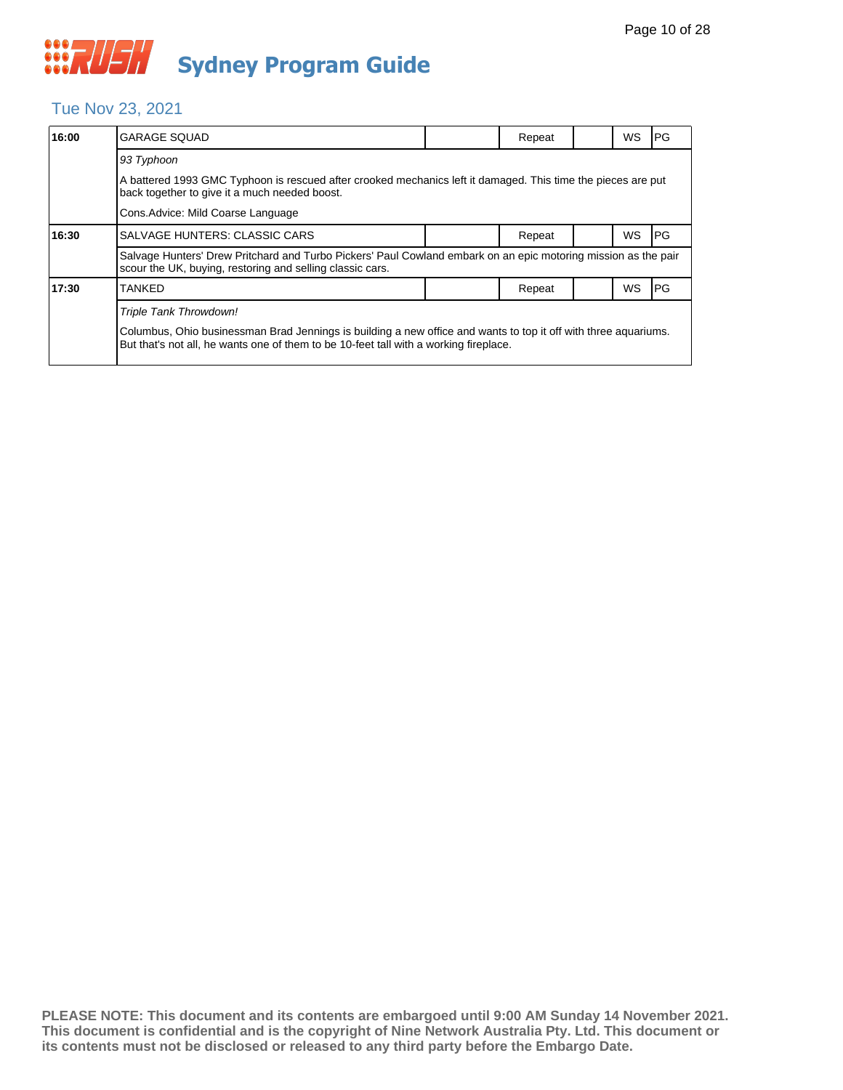### WAUSH **Sydney Program Guide**

#### Tue Nov 23, 2021

| 16:00 | <b>GARAGE SQUAD</b>                                                                                                                                                                                                                |  | Repeat |  | WS | <b>PG</b> |  |  |  |
|-------|------------------------------------------------------------------------------------------------------------------------------------------------------------------------------------------------------------------------------------|--|--------|--|----|-----------|--|--|--|
|       | 93 Typhoon                                                                                                                                                                                                                         |  |        |  |    |           |  |  |  |
|       | A battered 1993 GMC Typhoon is rescued after crooked mechanics left it damaged. This time the pieces are put<br>back together to give it a much needed boost.                                                                      |  |        |  |    |           |  |  |  |
|       | Cons. Advice: Mild Coarse Language                                                                                                                                                                                                 |  |        |  |    |           |  |  |  |
| 16:30 | <b>SALVAGE HUNTERS: CLASSIC CARS</b>                                                                                                                                                                                               |  | Repeat |  | WS | PG        |  |  |  |
|       | Salvage Hunters' Drew Pritchard and Turbo Pickers' Paul Cowland embark on an epic motoring mission as the pair<br>scour the UK, buying, restoring and selling classic cars.                                                        |  |        |  |    |           |  |  |  |
| 17:30 | <b>TANKED</b>                                                                                                                                                                                                                      |  | Repeat |  | WS | PG        |  |  |  |
|       | Triple Tank Throwdown!<br>Columbus, Ohio businessman Brad Jennings is building a new office and wants to top it off with three aquariums.<br>But that's not all, he wants one of them to be 10-feet tall with a working fireplace. |  |        |  |    |           |  |  |  |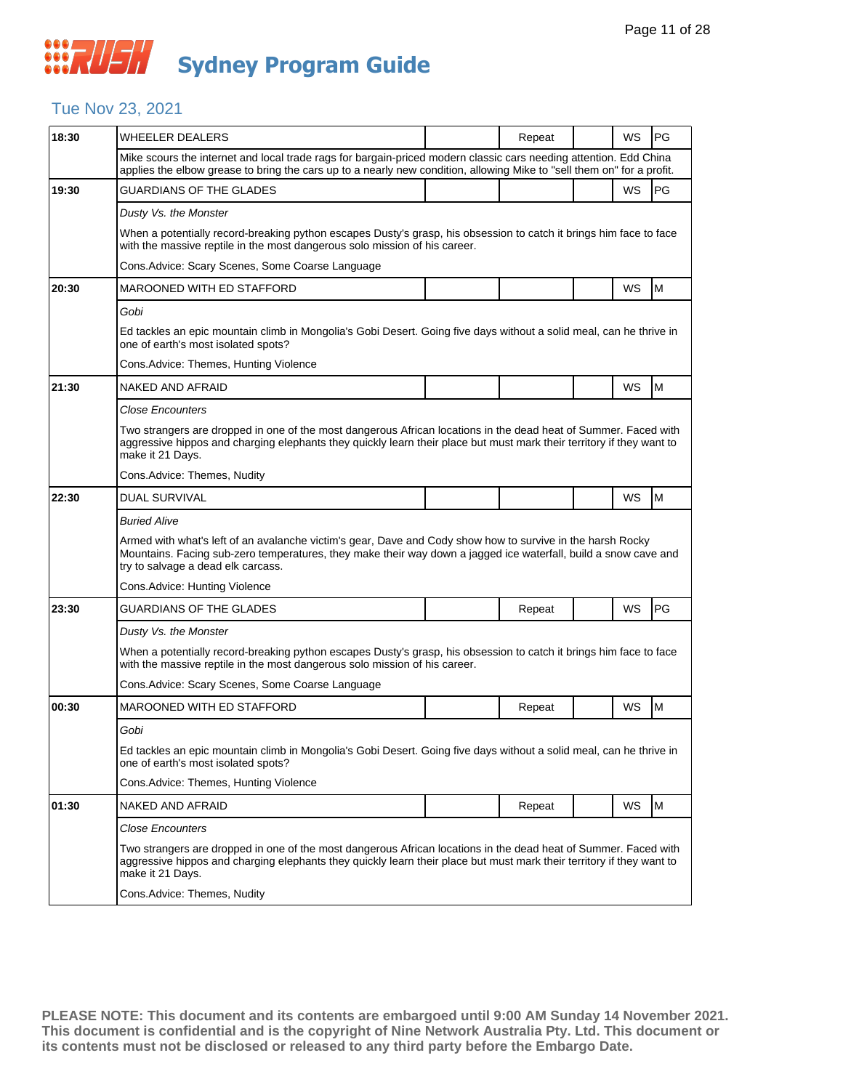## **WAUSH Sydney Program Guide**

#### Tue Nov 23, 2021

| 18:30 | WHEELER DEALERS                                                                                                                                                                                                                                                     |  | Repeat |  | WS        | <b>PG</b> |  |  |  |
|-------|---------------------------------------------------------------------------------------------------------------------------------------------------------------------------------------------------------------------------------------------------------------------|--|--------|--|-----------|-----------|--|--|--|
|       | Mike scours the internet and local trade rags for bargain-priced modern classic cars needing attention. Edd China<br>applies the elbow grease to bring the cars up to a nearly new condition, allowing Mike to "sell them on" for a profit.                         |  |        |  |           |           |  |  |  |
| 19:30 | <b>GUARDIANS OF THE GLADES</b>                                                                                                                                                                                                                                      |  |        |  | WS        | PG        |  |  |  |
|       | Dusty Vs. the Monster                                                                                                                                                                                                                                               |  |        |  |           |           |  |  |  |
|       | When a potentially record-breaking python escapes Dusty's grasp, his obsession to catch it brings him face to face<br>with the massive reptile in the most dangerous solo mission of his career.                                                                    |  |        |  |           |           |  |  |  |
|       | Cons. Advice: Scary Scenes, Some Coarse Language                                                                                                                                                                                                                    |  |        |  |           |           |  |  |  |
| 20:30 | MAROONED WITH ED STAFFORD                                                                                                                                                                                                                                           |  |        |  | WS        | M         |  |  |  |
|       | Gobi                                                                                                                                                                                                                                                                |  |        |  |           |           |  |  |  |
|       | Ed tackles an epic mountain climb in Mongolia's Gobi Desert. Going five days without a solid meal, can he thrive in<br>one of earth's most isolated spots?                                                                                                          |  |        |  |           |           |  |  |  |
|       | Cons. Advice: Themes, Hunting Violence                                                                                                                                                                                                                              |  |        |  |           |           |  |  |  |
| 21:30 | NAKED AND AFRAID                                                                                                                                                                                                                                                    |  |        |  | <b>WS</b> | M         |  |  |  |
|       | <b>Close Encounters</b>                                                                                                                                                                                                                                             |  |        |  |           |           |  |  |  |
|       | Two strangers are dropped in one of the most dangerous African locations in the dead heat of Summer. Faced with<br>aggressive hippos and charging elephants they quickly learn their place but must mark their territory if they want to<br>make it 21 Days.        |  |        |  |           |           |  |  |  |
|       | Cons.Advice: Themes, Nudity                                                                                                                                                                                                                                         |  |        |  |           |           |  |  |  |
| 22:30 | <b>DUAL SURVIVAL</b>                                                                                                                                                                                                                                                |  |        |  | <b>WS</b> | M         |  |  |  |
|       | <b>Buried Alive</b>                                                                                                                                                                                                                                                 |  |        |  |           |           |  |  |  |
|       | Armed with what's left of an avalanche victim's gear, Dave and Cody show how to survive in the harsh Rocky<br>Mountains. Facing sub-zero temperatures, they make their way down a jagged ice waterfall, build a snow cave and<br>try to salvage a dead elk carcass. |  |        |  |           |           |  |  |  |
|       | Cons. Advice: Hunting Violence                                                                                                                                                                                                                                      |  |        |  |           |           |  |  |  |
| 23:30 | <b>GUARDIANS OF THE GLADES</b>                                                                                                                                                                                                                                      |  | Repeat |  | WS        | PG        |  |  |  |
|       | Dusty Vs. the Monster                                                                                                                                                                                                                                               |  |        |  |           |           |  |  |  |
|       | When a potentially record-breaking python escapes Dusty's grasp, his obsession to catch it brings him face to face<br>with the massive reptile in the most dangerous solo mission of his career.                                                                    |  |        |  |           |           |  |  |  |
|       | Cons. Advice: Scary Scenes, Some Coarse Language                                                                                                                                                                                                                    |  |        |  |           |           |  |  |  |
| 00:30 | MAROONED WITH ED STAFFORD                                                                                                                                                                                                                                           |  | Repeat |  | WS        | M         |  |  |  |
|       | Gobi                                                                                                                                                                                                                                                                |  |        |  |           |           |  |  |  |
|       | Ed tackles an epic mountain climb in Mongolia's Gobi Desert. Going five days without a solid meal, can he thrive in<br>one of earth's most isolated spots?                                                                                                          |  |        |  |           |           |  |  |  |
|       | Cons.Advice: Themes, Hunting Violence                                                                                                                                                                                                                               |  |        |  |           |           |  |  |  |
| 01:30 | NAKED AND AFRAID                                                                                                                                                                                                                                                    |  | Repeat |  | WS        | M         |  |  |  |
|       | <b>Close Encounters</b>                                                                                                                                                                                                                                             |  |        |  |           |           |  |  |  |
|       | Two strangers are dropped in one of the most dangerous African locations in the dead heat of Summer. Faced with<br>aggressive hippos and charging elephants they quickly learn their place but must mark their territory if they want to                            |  |        |  |           |           |  |  |  |
|       | make it 21 Days.                                                                                                                                                                                                                                                    |  |        |  |           |           |  |  |  |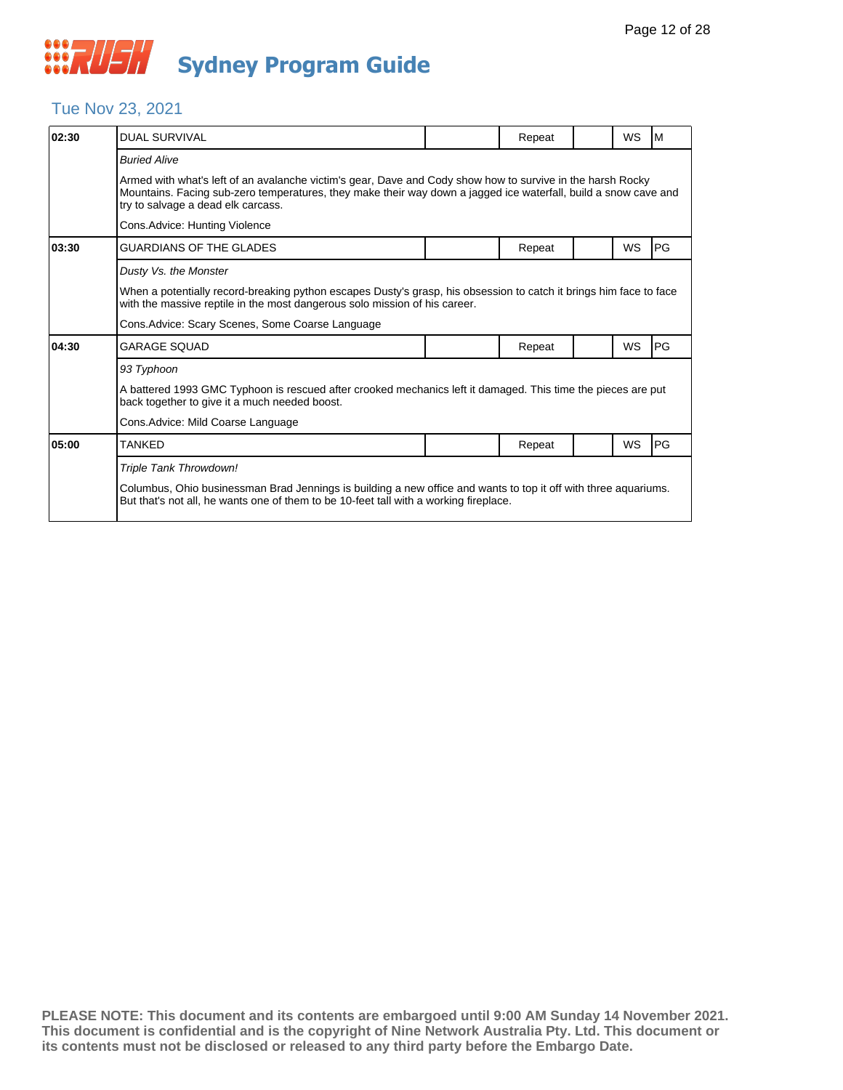#### Tue Nov 23, 2021

| 02:30 | <b>DUAL SURVIVAL</b>                                                                                                                                                                                                                                                |  | Repeat |  | WS        | M         |  |  |  |
|-------|---------------------------------------------------------------------------------------------------------------------------------------------------------------------------------------------------------------------------------------------------------------------|--|--------|--|-----------|-----------|--|--|--|
|       | <b>Buried Alive</b>                                                                                                                                                                                                                                                 |  |        |  |           |           |  |  |  |
|       | Armed with what's left of an avalanche victim's gear, Dave and Cody show how to survive in the harsh Rocky<br>Mountains. Facing sub-zero temperatures, they make their way down a jagged ice waterfall, build a snow cave and<br>try to salvage a dead elk carcass. |  |        |  |           |           |  |  |  |
|       | Cons.Advice: Hunting Violence                                                                                                                                                                                                                                       |  |        |  |           |           |  |  |  |
| 03:30 | GUARDIANS OF THE GLADES                                                                                                                                                                                                                                             |  | Repeat |  | WS        | PG        |  |  |  |
|       | Dusty Vs. the Monster                                                                                                                                                                                                                                               |  |        |  |           |           |  |  |  |
|       | When a potentially record-breaking python escapes Dusty's grasp, his obsession to catch it brings him face to face<br>with the massive reptile in the most dangerous solo mission of his career.                                                                    |  |        |  |           |           |  |  |  |
|       | Cons.Advice: Scary Scenes, Some Coarse Language                                                                                                                                                                                                                     |  |        |  |           |           |  |  |  |
| 04:30 | GARAGE SOUAD                                                                                                                                                                                                                                                        |  | Repeat |  | <b>WS</b> | <b>PG</b> |  |  |  |
|       | 93 Typhoon                                                                                                                                                                                                                                                          |  |        |  |           |           |  |  |  |
|       | A battered 1993 GMC Typhoon is rescued after crooked mechanics left it damaged. This time the pieces are put<br>back together to give it a much needed boost.                                                                                                       |  |        |  |           |           |  |  |  |
|       | Cons.Advice: Mild Coarse Language                                                                                                                                                                                                                                   |  |        |  |           |           |  |  |  |
| 05:00 | TANKED                                                                                                                                                                                                                                                              |  | Repeat |  | <b>WS</b> | <b>PG</b> |  |  |  |
|       | Triple Tank Throwdown!                                                                                                                                                                                                                                              |  |        |  |           |           |  |  |  |
|       | Columbus, Ohio businessman Brad Jennings is building a new office and wants to top it off with three aquariums.<br>But that's not all, he wants one of them to be 10-feet tall with a working fireplace.                                                            |  |        |  |           |           |  |  |  |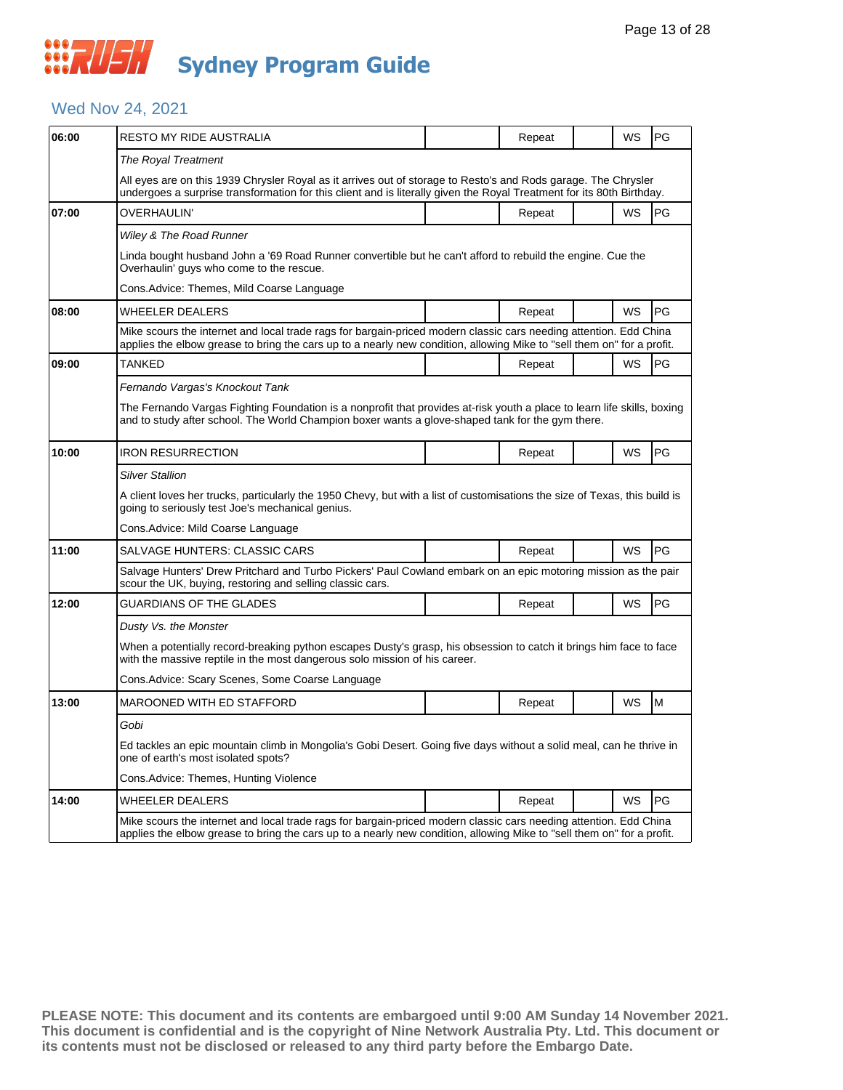#### Wed Nov 24, 2021

| 06:00 | RESTO MY RIDE AUSTRALIA                                                                                                                                                                                                                     |  | Repeat |  | <b>WS</b> | <b>PG</b> |  |  |  |  |
|-------|---------------------------------------------------------------------------------------------------------------------------------------------------------------------------------------------------------------------------------------------|--|--------|--|-----------|-----------|--|--|--|--|
|       | The Royal Treatment                                                                                                                                                                                                                         |  |        |  |           |           |  |  |  |  |
|       | All eyes are on this 1939 Chrysler Royal as it arrives out of storage to Resto's and Rods garage. The Chrysler<br>undergoes a surprise transformation for this client and is literally given the Royal Treatment for its 80th Birthday.     |  |        |  |           |           |  |  |  |  |
| 07:00 | OVERHAULIN'                                                                                                                                                                                                                                 |  | Repeat |  | <b>WS</b> | <b>PG</b> |  |  |  |  |
|       | Wiley & The Road Runner                                                                                                                                                                                                                     |  |        |  |           |           |  |  |  |  |
|       | Linda bought husband John a '69 Road Runner convertible but he can't afford to rebuild the engine. Cue the<br>Overhaulin' guys who come to the rescue.                                                                                      |  |        |  |           |           |  |  |  |  |
|       | Cons.Advice: Themes, Mild Coarse Language                                                                                                                                                                                                   |  |        |  |           |           |  |  |  |  |
| 08:00 | <b>WHEELER DEALERS</b>                                                                                                                                                                                                                      |  | Repeat |  | <b>WS</b> | PG        |  |  |  |  |
|       | Mike scours the internet and local trade rags for bargain-priced modern classic cars needing attention. Edd China<br>applies the elbow grease to bring the cars up to a nearly new condition, allowing Mike to "sell them on" for a profit. |  |        |  |           |           |  |  |  |  |
| 09:00 | <b>TANKED</b>                                                                                                                                                                                                                               |  | Repeat |  | <b>WS</b> | PG        |  |  |  |  |
|       | Fernando Vargas's Knockout Tank                                                                                                                                                                                                             |  |        |  |           |           |  |  |  |  |
|       | The Fernando Vargas Fighting Foundation is a nonprofit that provides at-risk youth a place to learn life skills, boxing<br>and to study after school. The World Champion boxer wants a glove-shaped tank for the gym there.                 |  |        |  |           |           |  |  |  |  |
| 10:00 | <b>IRON RESURRECTION</b>                                                                                                                                                                                                                    |  | Repeat |  | <b>WS</b> | PG        |  |  |  |  |
|       | Silver Stallion                                                                                                                                                                                                                             |  |        |  |           |           |  |  |  |  |
|       | A client loves her trucks, particularly the 1950 Chevy, but with a list of customisations the size of Texas, this build is<br>going to seriously test Joe's mechanical genius.                                                              |  |        |  |           |           |  |  |  |  |
|       | Cons.Advice: Mild Coarse Language                                                                                                                                                                                                           |  |        |  |           |           |  |  |  |  |
| 11:00 | <b>SALVAGE HUNTERS: CLASSIC CARS</b>                                                                                                                                                                                                        |  | Repeat |  | <b>WS</b> | PG        |  |  |  |  |
|       | Salvage Hunters' Drew Pritchard and Turbo Pickers' Paul Cowland embark on an epic motoring mission as the pair<br>scour the UK, buying, restoring and selling classic cars.                                                                 |  |        |  |           |           |  |  |  |  |
| 12:00 | GUARDIANS OF THE GLADES                                                                                                                                                                                                                     |  | Repeat |  | WS        | PG        |  |  |  |  |
|       | Dusty Vs. the Monster                                                                                                                                                                                                                       |  |        |  |           |           |  |  |  |  |
|       | When a potentially record-breaking python escapes Dusty's grasp, his obsession to catch it brings him face to face<br>with the massive reptile in the most dangerous solo mission of his career.                                            |  |        |  |           |           |  |  |  |  |
|       | Cons.Advice: Scary Scenes, Some Coarse Language                                                                                                                                                                                             |  |        |  |           |           |  |  |  |  |
| 13:00 | <b>MAROONED WITH ED STAFFORD</b>                                                                                                                                                                                                            |  | Repeat |  | <b>WS</b> | M         |  |  |  |  |
|       | Gobi                                                                                                                                                                                                                                        |  |        |  |           |           |  |  |  |  |
|       | Ed tackles an epic mountain climb in Mongolia's Gobi Desert. Going five days without a solid meal, can he thrive in<br>one of earth's most isolated spots?                                                                                  |  |        |  |           |           |  |  |  |  |
|       | Cons.Advice: Themes, Hunting Violence                                                                                                                                                                                                       |  |        |  |           |           |  |  |  |  |
| 14:00 | WHEELER DEALERS                                                                                                                                                                                                                             |  | Repeat |  | WS        | PG        |  |  |  |  |
|       | Mike scours the internet and local trade rags for bargain-priced modern classic cars needing attention. Edd China<br>applies the elbow grease to bring the cars up to a nearly new condition, allowing Mike to "sell them on" for a profit. |  |        |  |           |           |  |  |  |  |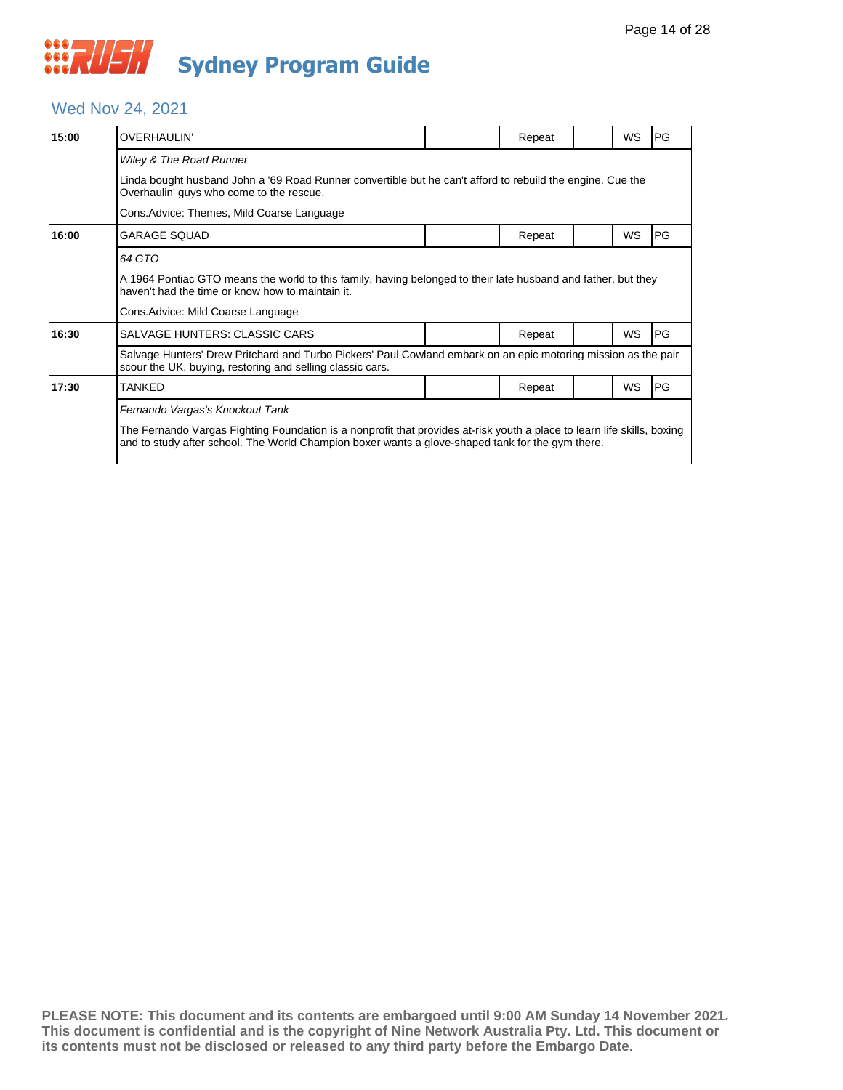#### Wed Nov 24, 2021

| 15:00 | <b>OVERHAULIN'</b>                                                                                                                                                                                                          |                                                                                                            | Repeat |  | <b>WS</b> | PG |  |  |  |  |
|-------|-----------------------------------------------------------------------------------------------------------------------------------------------------------------------------------------------------------------------------|------------------------------------------------------------------------------------------------------------|--------|--|-----------|----|--|--|--|--|
|       | Wiley & The Road Runner                                                                                                                                                                                                     |                                                                                                            |        |  |           |    |  |  |  |  |
|       | Overhaulin' guys who come to the rescue.                                                                                                                                                                                    | Linda bought husband John a '69 Road Runner convertible but he can't afford to rebuild the engine. Cue the |        |  |           |    |  |  |  |  |
|       | Cons. Advice: Themes, Mild Coarse Language                                                                                                                                                                                  |                                                                                                            |        |  |           |    |  |  |  |  |
| 16:00 | <b>GARAGE SQUAD</b>                                                                                                                                                                                                         |                                                                                                            | Repeat |  | <b>WS</b> | PG |  |  |  |  |
|       | 64 GTO                                                                                                                                                                                                                      |                                                                                                            |        |  |           |    |  |  |  |  |
|       | A 1964 Pontiac GTO means the world to this family, having belonged to their late husband and father, but they<br>haven't had the time or know how to maintain it.                                                           |                                                                                                            |        |  |           |    |  |  |  |  |
|       | Cons. Advice: Mild Coarse Language                                                                                                                                                                                          |                                                                                                            |        |  |           |    |  |  |  |  |
| 16:30 | SALVAGE HUNTERS: CLASSIC CARS                                                                                                                                                                                               |                                                                                                            | Repeat |  | <b>WS</b> | PG |  |  |  |  |
|       | Salvage Hunters' Drew Pritchard and Turbo Pickers' Paul Cowland embark on an epic motoring mission as the pair<br>scour the UK, buying, restoring and selling classic cars.                                                 |                                                                                                            |        |  |           |    |  |  |  |  |
| 17:30 | <b>TANKED</b>                                                                                                                                                                                                               |                                                                                                            | Repeat |  | <b>WS</b> | PG |  |  |  |  |
|       | Fernando Vargas's Knockout Tank                                                                                                                                                                                             |                                                                                                            |        |  |           |    |  |  |  |  |
|       | The Fernando Vargas Fighting Foundation is a nonprofit that provides at-risk youth a place to learn life skills, boxing<br>and to study after school. The World Champion boxer wants a glove-shaped tank for the gym there. |                                                                                                            |        |  |           |    |  |  |  |  |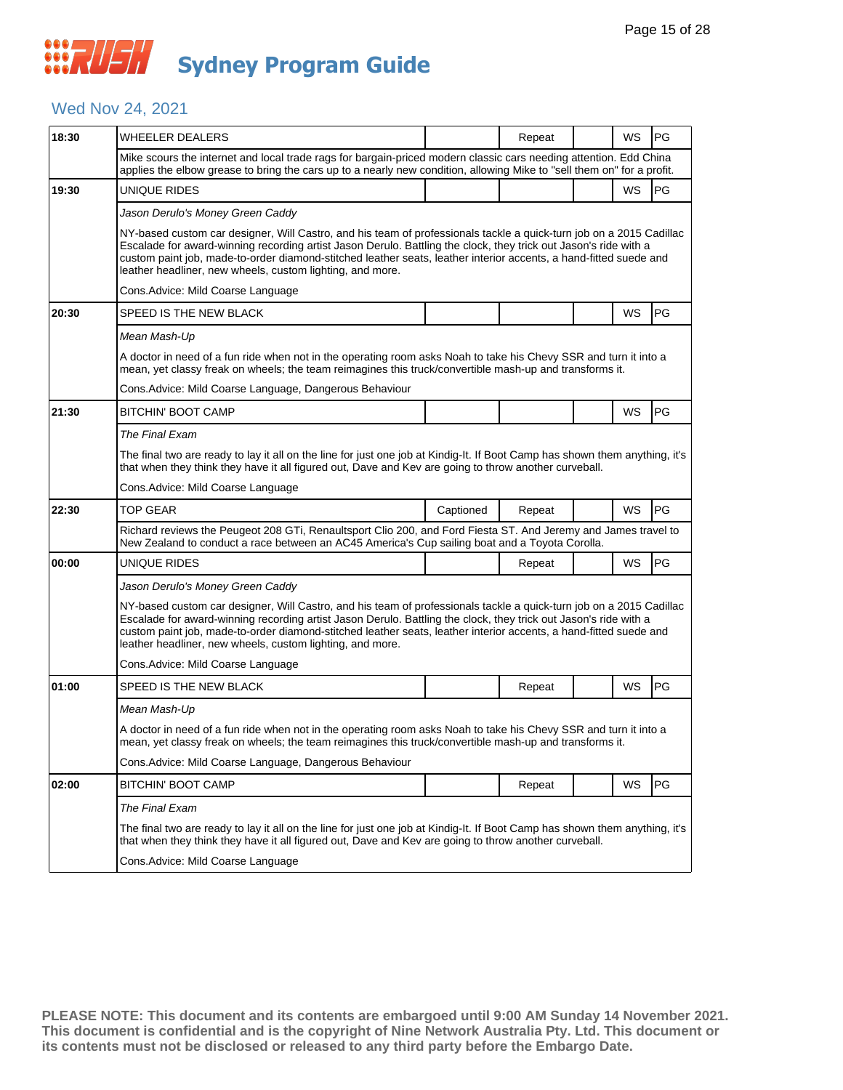#### Wed Nov 24, 2021

| 18:30 | <b>WHEELER DEALERS</b>                                                                                                                                                                                                                                                                                                                                                                                                    |           | Repeat |  | WS | PG        |  |  |  |
|-------|---------------------------------------------------------------------------------------------------------------------------------------------------------------------------------------------------------------------------------------------------------------------------------------------------------------------------------------------------------------------------------------------------------------------------|-----------|--------|--|----|-----------|--|--|--|
|       | Mike scours the internet and local trade rags for bargain-priced modern classic cars needing attention. Edd China<br>applies the elbow grease to bring the cars up to a nearly new condition, allowing Mike to "sell them on" for a profit.                                                                                                                                                                               |           |        |  |    |           |  |  |  |
| 19:30 | UNIQUE RIDES                                                                                                                                                                                                                                                                                                                                                                                                              |           |        |  | WS | PG        |  |  |  |
|       | Jason Derulo's Money Green Caddy                                                                                                                                                                                                                                                                                                                                                                                          |           |        |  |    |           |  |  |  |
|       | NY-based custom car designer, Will Castro, and his team of professionals tackle a quick-turn job on a 2015 Cadillac<br>Escalade for award-winning recording artist Jason Derulo. Battling the clock, they trick out Jason's ride with a<br>custom paint job, made-to-order diamond-stitched leather seats, leather interior accents, a hand-fitted suede and<br>leather headliner, new wheels, custom lighting, and more. |           |        |  |    |           |  |  |  |
|       | Cons. Advice: Mild Coarse Language                                                                                                                                                                                                                                                                                                                                                                                        |           |        |  |    |           |  |  |  |
| 20:30 | SPEED IS THE NEW BLACK                                                                                                                                                                                                                                                                                                                                                                                                    |           |        |  | WS | PG        |  |  |  |
|       | Mean Mash-Up                                                                                                                                                                                                                                                                                                                                                                                                              |           |        |  |    |           |  |  |  |
|       | A doctor in need of a fun ride when not in the operating room asks Noah to take his Chevy SSR and turn it into a<br>mean, yet classy freak on wheels; the team reimagines this truck/convertible mash-up and transforms it.                                                                                                                                                                                               |           |        |  |    |           |  |  |  |
|       | Cons. Advice: Mild Coarse Language, Dangerous Behaviour                                                                                                                                                                                                                                                                                                                                                                   |           |        |  |    |           |  |  |  |
| 21:30 | <b>BITCHIN' BOOT CAMP</b>                                                                                                                                                                                                                                                                                                                                                                                                 |           |        |  | WS | PG        |  |  |  |
|       | The Final Exam                                                                                                                                                                                                                                                                                                                                                                                                            |           |        |  |    |           |  |  |  |
|       | The final two are ready to lay it all on the line for just one job at Kindig-It. If Boot Camp has shown them anything, it's<br>that when they think they have it all figured out, Dave and Kev are going to throw another curveball.                                                                                                                                                                                      |           |        |  |    |           |  |  |  |
|       | Cons.Advice: Mild Coarse Language                                                                                                                                                                                                                                                                                                                                                                                         |           |        |  |    |           |  |  |  |
| 22:30 | <b>TOP GEAR</b>                                                                                                                                                                                                                                                                                                                                                                                                           | Captioned | Repeat |  | WS | <b>PG</b> |  |  |  |
|       | Richard reviews the Peugeot 208 GTi, Renaultsport Clio 200, and Ford Fiesta ST. And Jeremy and James travel to<br>New Zealand to conduct a race between an AC45 America's Cup sailing boat and a Toyota Corolla.                                                                                                                                                                                                          |           |        |  |    |           |  |  |  |
| 00:00 | UNIQUE RIDES                                                                                                                                                                                                                                                                                                                                                                                                              |           | Repeat |  | WS | PG        |  |  |  |
|       | Jason Derulo's Money Green Caddy                                                                                                                                                                                                                                                                                                                                                                                          |           |        |  |    |           |  |  |  |
|       | NY-based custom car designer, Will Castro, and his team of professionals tackle a quick-turn job on a 2015 Cadillac<br>Escalade for award-winning recording artist Jason Derulo. Battling the clock, they trick out Jason's ride with a<br>custom paint job, made-to-order diamond-stitched leather seats, leather interior accents, a hand-fitted suede and<br>leather headliner, new wheels, custom lighting, and more. |           |        |  |    |           |  |  |  |
|       | Cons. Advice: Mild Coarse Language                                                                                                                                                                                                                                                                                                                                                                                        |           |        |  |    |           |  |  |  |
| 01:00 | SPEED IS THE NEW BLACK                                                                                                                                                                                                                                                                                                                                                                                                    |           | Repeat |  | WS | <b>PG</b> |  |  |  |
|       | Mean Mash-Up                                                                                                                                                                                                                                                                                                                                                                                                              |           |        |  |    |           |  |  |  |
|       | A doctor in need of a fun ride when not in the operating room asks Noah to take his Chevy SSR and turn it into a<br>mean, yet classy freak on wheels; the team reimagines this truck/convertible mash-up and transforms it.                                                                                                                                                                                               |           |        |  |    |           |  |  |  |
|       | Cons. Advice: Mild Coarse Language, Dangerous Behaviour                                                                                                                                                                                                                                                                                                                                                                   |           |        |  |    |           |  |  |  |
| 02:00 | BITCHIN' BOOT CAMP                                                                                                                                                                                                                                                                                                                                                                                                        |           | Repeat |  | WS | <b>PG</b> |  |  |  |
|       | The Final Exam                                                                                                                                                                                                                                                                                                                                                                                                            |           |        |  |    |           |  |  |  |
|       | The final two are ready to lay it all on the line for just one job at Kindig-It. If Boot Camp has shown them anything, it's<br>that when they think they have it all figured out, Dave and Kev are going to throw another curveball.                                                                                                                                                                                      |           |        |  |    |           |  |  |  |
|       | Cons.Advice: Mild Coarse Language                                                                                                                                                                                                                                                                                                                                                                                         |           |        |  |    |           |  |  |  |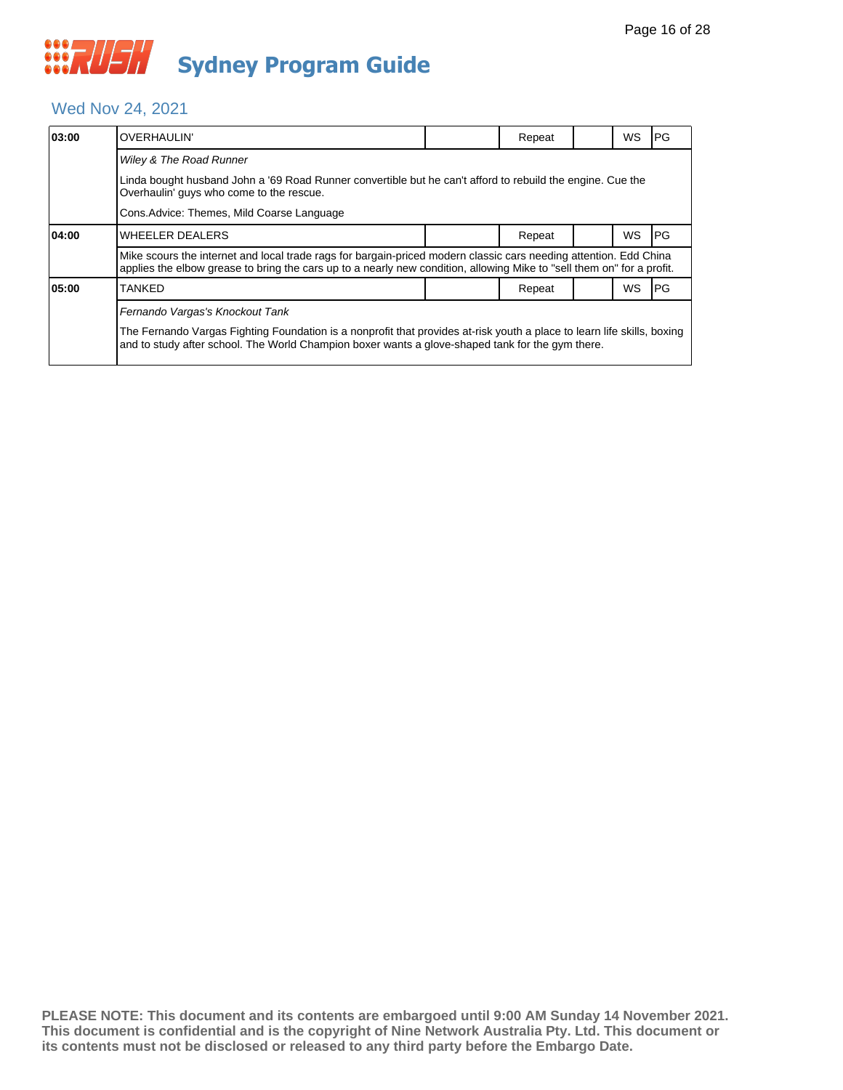#### Wed Nov 24, 2021

| 03:00 | <b>OVERHAULIN'</b>                                                                                                                                                                                                                          |  | Repeat |  | WS | IPG.      |  |  |  |
|-------|---------------------------------------------------------------------------------------------------------------------------------------------------------------------------------------------------------------------------------------------|--|--------|--|----|-----------|--|--|--|
|       | Wiley & The Road Runner                                                                                                                                                                                                                     |  |        |  |    |           |  |  |  |
|       | Linda bought husband John a '69 Road Runner convertible but he can't afford to rebuild the engine. Cue the<br>Overhaulin' guys who come to the rescue.                                                                                      |  |        |  |    |           |  |  |  |
|       | Cons. Advice: Themes, Mild Coarse Language                                                                                                                                                                                                  |  |        |  |    |           |  |  |  |
| 04:00 | WHEELER DEALERS                                                                                                                                                                                                                             |  | Repeat |  | WS | <b>PG</b> |  |  |  |
|       | Mike scours the internet and local trade rags for bargain-priced modern classic cars needing attention. Edd China<br>applies the elbow grease to bring the cars up to a nearly new condition, allowing Mike to "sell them on" for a profit. |  |        |  |    |           |  |  |  |
| 05:00 | TANKED                                                                                                                                                                                                                                      |  | Repeat |  | WS | l PG      |  |  |  |
|       | Fernando Vargas's Knockout Tank                                                                                                                                                                                                             |  |        |  |    |           |  |  |  |
|       | The Fernando Vargas Fighting Foundation is a nonprofit that provides at-risk youth a place to learn life skills, boxing<br>and to study after school. The World Champion boxer wants a glove-shaped tank for the gym there.                 |  |        |  |    |           |  |  |  |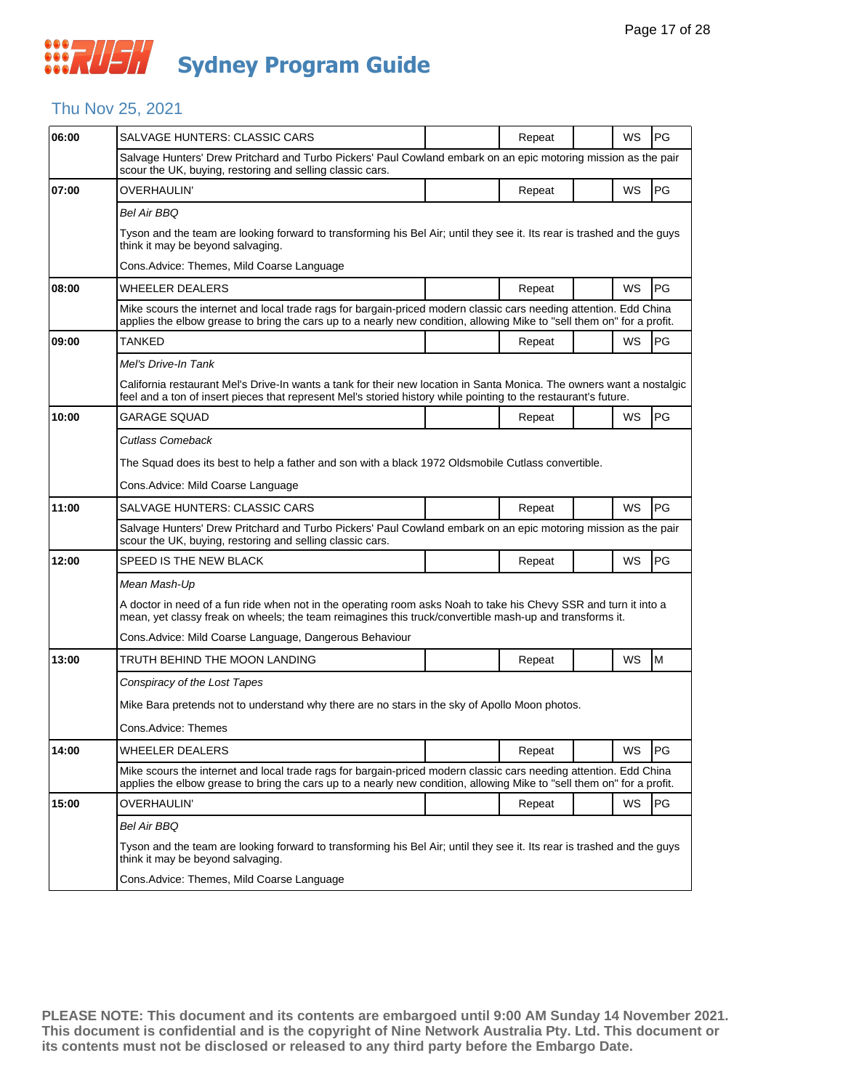#### Thu Nov 25, 2021

| 06:00 | SALVAGE HUNTERS: CLASSIC CARS                                                                                                                                                                                                               |  | Repeat |  | WS | PG |  |  |
|-------|---------------------------------------------------------------------------------------------------------------------------------------------------------------------------------------------------------------------------------------------|--|--------|--|----|----|--|--|
|       | Salvage Hunters' Drew Pritchard and Turbo Pickers' Paul Cowland embark on an epic motoring mission as the pair<br>scour the UK, buying, restoring and selling classic cars.                                                                 |  |        |  |    |    |  |  |
| 07:00 | OVERHAULIN'                                                                                                                                                                                                                                 |  | Repeat |  | WS | PG |  |  |
|       | <b>Bel Air BBQ</b>                                                                                                                                                                                                                          |  |        |  |    |    |  |  |
|       | Tyson and the team are looking forward to transforming his Bel Air; until they see it. Its rear is trashed and the guys<br>think it may be beyond salvaging.                                                                                |  |        |  |    |    |  |  |
|       | Cons.Advice: Themes, Mild Coarse Language                                                                                                                                                                                                   |  |        |  |    |    |  |  |
| 08:00 | WHEELER DEALERS                                                                                                                                                                                                                             |  | Repeat |  | WS | PG |  |  |
|       | Mike scours the internet and local trade rags for bargain-priced modern classic cars needing attention. Edd China<br>applies the elbow grease to bring the cars up to a nearly new condition, allowing Mike to "sell them on" for a profit. |  |        |  |    |    |  |  |
| 09:00 | TANKED                                                                                                                                                                                                                                      |  | Repeat |  | WS | PG |  |  |
|       | Mel's Drive-In Tank                                                                                                                                                                                                                         |  |        |  |    |    |  |  |
|       | California restaurant Mel's Drive-In wants a tank for their new location in Santa Monica. The owners want a nostalgic<br>feel and a ton of insert pieces that represent Mel's storied history while pointing to the restaurant's future.    |  |        |  |    |    |  |  |
| 10:00 | GARAGE SQUAD                                                                                                                                                                                                                                |  | Repeat |  | WS | PG |  |  |
|       | Cutlass Comeback                                                                                                                                                                                                                            |  |        |  |    |    |  |  |
|       | The Squad does its best to help a father and son with a black 1972 Oldsmobile Cutlass convertible.                                                                                                                                          |  |        |  |    |    |  |  |
|       | Cons.Advice: Mild Coarse Language                                                                                                                                                                                                           |  |        |  |    |    |  |  |
| 11:00 | SALVAGE HUNTERS: CLASSIC CARS                                                                                                                                                                                                               |  | Repeat |  | WS | PG |  |  |
|       | Salvage Hunters' Drew Pritchard and Turbo Pickers' Paul Cowland embark on an epic motoring mission as the pair<br>scour the UK, buying, restoring and selling classic cars.                                                                 |  |        |  |    |    |  |  |
| 12:00 | SPEED IS THE NEW BLACK                                                                                                                                                                                                                      |  | Repeat |  | WS | PG |  |  |
|       | Mean Mash-Up                                                                                                                                                                                                                                |  |        |  |    |    |  |  |
|       | A doctor in need of a fun ride when not in the operating room asks Noah to take his Chevy SSR and turn it into a<br>mean, yet classy freak on wheels; the team reimagines this truck/convertible mash-up and transforms it.                 |  |        |  |    |    |  |  |
|       | Cons. Advice: Mild Coarse Language, Dangerous Behaviour                                                                                                                                                                                     |  |        |  |    |    |  |  |
| 13:00 | TRUTH BEHIND THE MOON LANDING                                                                                                                                                                                                               |  | Repeat |  | WS | M  |  |  |
|       | Conspiracy of the Lost Tapes                                                                                                                                                                                                                |  |        |  |    |    |  |  |
|       | Mike Bara pretends not to understand why there are no stars in the sky of Apollo Moon photos.                                                                                                                                               |  |        |  |    |    |  |  |
|       | Cons.Advice: Themes                                                                                                                                                                                                                         |  |        |  |    |    |  |  |
| 14:00 | <b>WHEELER DEALERS</b>                                                                                                                                                                                                                      |  | Repeat |  | WS | PG |  |  |
|       | Mike scours the internet and local trade rags for bargain-priced modern classic cars needing attention. Edd China<br>applies the elbow grease to bring the cars up to a nearly new condition, allowing Mike to "sell them on" for a profit. |  |        |  |    |    |  |  |
| 15:00 | OVERHAULIN'                                                                                                                                                                                                                                 |  | Repeat |  | WS | PG |  |  |
|       | Bel Air BBQ                                                                                                                                                                                                                                 |  |        |  |    |    |  |  |
|       | Tyson and the team are looking forward to transforming his Bel Air; until they see it. Its rear is trashed and the guys<br>think it may be beyond salvaging.                                                                                |  |        |  |    |    |  |  |
|       | Cons.Advice: Themes, Mild Coarse Language                                                                                                                                                                                                   |  |        |  |    |    |  |  |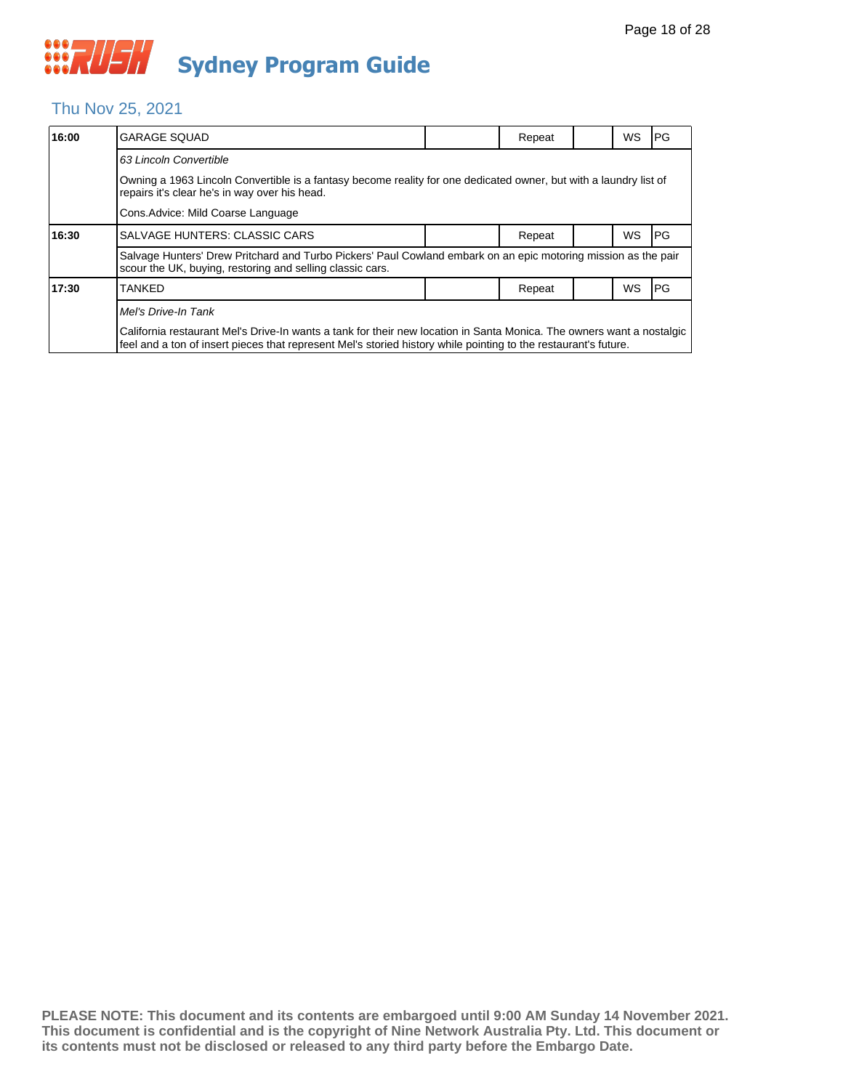#### Thu Nov 25, 2021

| 16:00 | <b>GARAGE SQUAD</b>                                                                                                                                                                                                                      |  | Repeat |  | WS        | IPG. |  |  |
|-------|------------------------------------------------------------------------------------------------------------------------------------------------------------------------------------------------------------------------------------------|--|--------|--|-----------|------|--|--|
|       | 63 Lincoln Convertible                                                                                                                                                                                                                   |  |        |  |           |      |  |  |
|       | Owning a 1963 Lincoln Convertible is a fantasy become reality for one dedicated owner, but with a laundry list of<br>repairs it's clear he's in way over his head.                                                                       |  |        |  |           |      |  |  |
|       | Cons. Advice: Mild Coarse Language                                                                                                                                                                                                       |  |        |  |           |      |  |  |
| 16:30 | SALVAGE HUNTERS: CLASSIC CARS                                                                                                                                                                                                            |  | Repeat |  | <b>WS</b> | IPG. |  |  |
|       | Salvage Hunters' Drew Pritchard and Turbo Pickers' Paul Cowland embark on an epic motoring mission as the pair<br>scour the UK, buying, restoring and selling classic cars.                                                              |  |        |  |           |      |  |  |
| 17:30 | TANKED                                                                                                                                                                                                                                   |  | Repeat |  | WS        | IPG. |  |  |
|       | Mel's Drive-In Tank                                                                                                                                                                                                                      |  |        |  |           |      |  |  |
|       | California restaurant Mel's Drive-In wants a tank for their new location in Santa Monica. The owners want a nostalgic<br>feel and a ton of insert pieces that represent Mel's storied history while pointing to the restaurant's future. |  |        |  |           |      |  |  |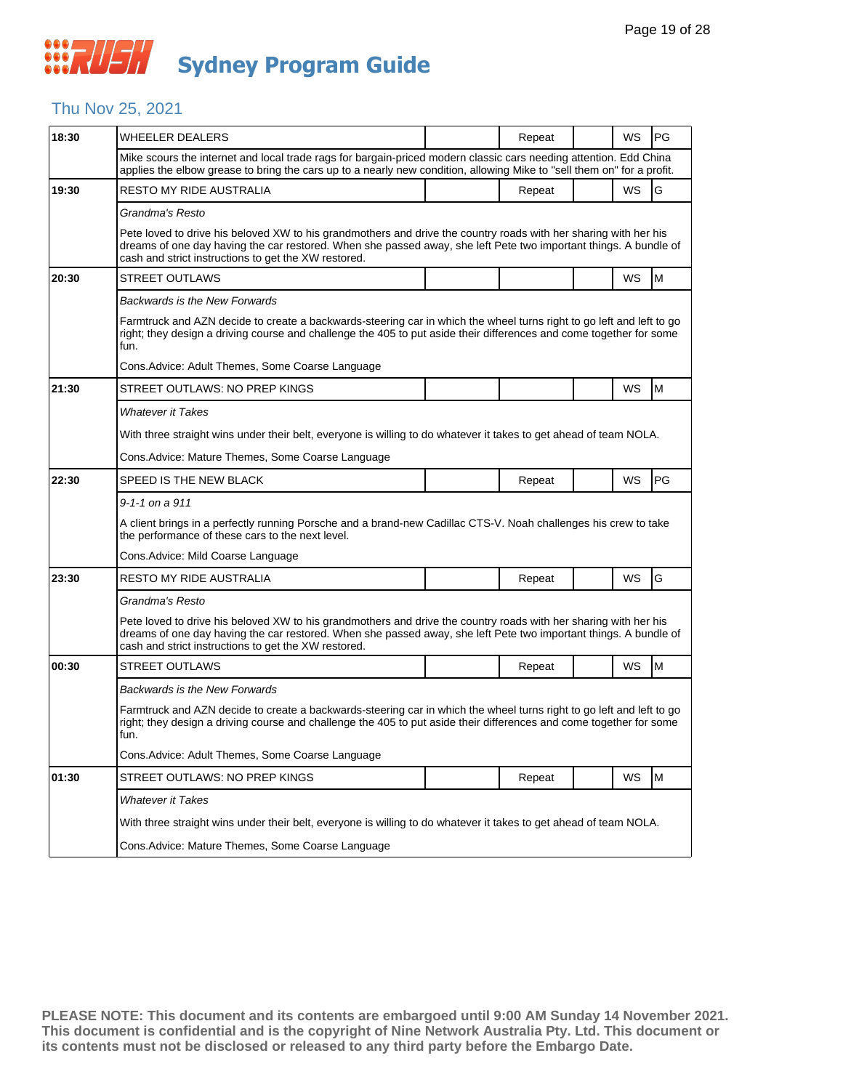#### Thu Nov 25, 2021

| 18:30 | <b>WHEELER DEALERS</b>                                                                                                                                                                                                                                                                       |  | Repeat |  | WS | PG |  |  |
|-------|----------------------------------------------------------------------------------------------------------------------------------------------------------------------------------------------------------------------------------------------------------------------------------------------|--|--------|--|----|----|--|--|
|       | Mike scours the internet and local trade rags for bargain-priced modern classic cars needing attention. Edd China<br>applies the elbow grease to bring the cars up to a nearly new condition, allowing Mike to "sell them on" for a profit.                                                  |  |        |  |    |    |  |  |
| 19:30 | RESTO MY RIDE AUSTRALIA                                                                                                                                                                                                                                                                      |  | Repeat |  | WS | G  |  |  |
|       | Grandma's Resto                                                                                                                                                                                                                                                                              |  |        |  |    |    |  |  |
|       | Pete loved to drive his beloved XW to his grandmothers and drive the country roads with her sharing with her his<br>dreams of one day having the car restored. When she passed away, she left Pete two important things. A bundle of<br>cash and strict instructions to get the XW restored. |  |        |  |    |    |  |  |
| 20:30 | <b>STREET OUTLAWS</b>                                                                                                                                                                                                                                                                        |  |        |  | WS | M  |  |  |
|       | Backwards is the New Forwards                                                                                                                                                                                                                                                                |  |        |  |    |    |  |  |
|       | Farmtruck and AZN decide to create a backwards-steering car in which the wheel turns right to go left and left to go<br>right; they design a driving course and challenge the 405 to put aside their differences and come together for some<br>fun.                                          |  |        |  |    |    |  |  |
|       | Cons. Advice: Adult Themes, Some Coarse Language                                                                                                                                                                                                                                             |  |        |  |    |    |  |  |
| 21:30 | STREET OUTLAWS: NO PREP KINGS                                                                                                                                                                                                                                                                |  |        |  | WS | M  |  |  |
|       | <b>Whatever it Takes</b>                                                                                                                                                                                                                                                                     |  |        |  |    |    |  |  |
|       | With three straight wins under their belt, everyone is willing to do whatever it takes to get ahead of team NOLA.                                                                                                                                                                            |  |        |  |    |    |  |  |
|       | Cons. Advice: Mature Themes, Some Coarse Language                                                                                                                                                                                                                                            |  |        |  |    |    |  |  |
| 22:30 | SPEED IS THE NEW BLACK                                                                                                                                                                                                                                                                       |  | Repeat |  | WS | PG |  |  |
|       | $9 - 1 - 1$ on a $911$                                                                                                                                                                                                                                                                       |  |        |  |    |    |  |  |
|       | A client brings in a perfectly running Porsche and a brand-new Cadillac CTS-V. Noah challenges his crew to take<br>the performance of these cars to the next level.                                                                                                                          |  |        |  |    |    |  |  |
|       | Cons. Advice: Mild Coarse Language                                                                                                                                                                                                                                                           |  |        |  |    |    |  |  |
| 23:30 | RESTO MY RIDE AUSTRALIA                                                                                                                                                                                                                                                                      |  | Repeat |  | WS | G  |  |  |
|       | Grandma's Resto                                                                                                                                                                                                                                                                              |  |        |  |    |    |  |  |
|       | Pete loved to drive his beloved XW to his grandmothers and drive the country roads with her sharing with her his<br>dreams of one day having the car restored. When she passed away, she left Pete two important things. A bundle of<br>cash and strict instructions to get the XW restored. |  |        |  |    |    |  |  |
| 00:30 | <b>STREET OUTLAWS</b>                                                                                                                                                                                                                                                                        |  | Repeat |  | WS | M  |  |  |
|       | Backwards is the New Forwards                                                                                                                                                                                                                                                                |  |        |  |    |    |  |  |
|       | Farmtruck and AZN decide to create a backwards-steering car in which the wheel turns right to go left and left to go<br>right; they design a driving course and challenge the 405 to put aside their differences and come together for some<br>fun.                                          |  |        |  |    |    |  |  |
|       | Cons. Advice: Adult Themes, Some Coarse Language                                                                                                                                                                                                                                             |  |        |  |    |    |  |  |
| 01:30 | STREET OUTLAWS: NO PREP KINGS                                                                                                                                                                                                                                                                |  | Repeat |  | WS | M  |  |  |
|       | <b>Whatever it Takes</b>                                                                                                                                                                                                                                                                     |  |        |  |    |    |  |  |
|       | With three straight wins under their belt, everyone is willing to do whatever it takes to get ahead of team NOLA.                                                                                                                                                                            |  |        |  |    |    |  |  |
|       | Cons. Advice: Mature Themes, Some Coarse Language                                                                                                                                                                                                                                            |  |        |  |    |    |  |  |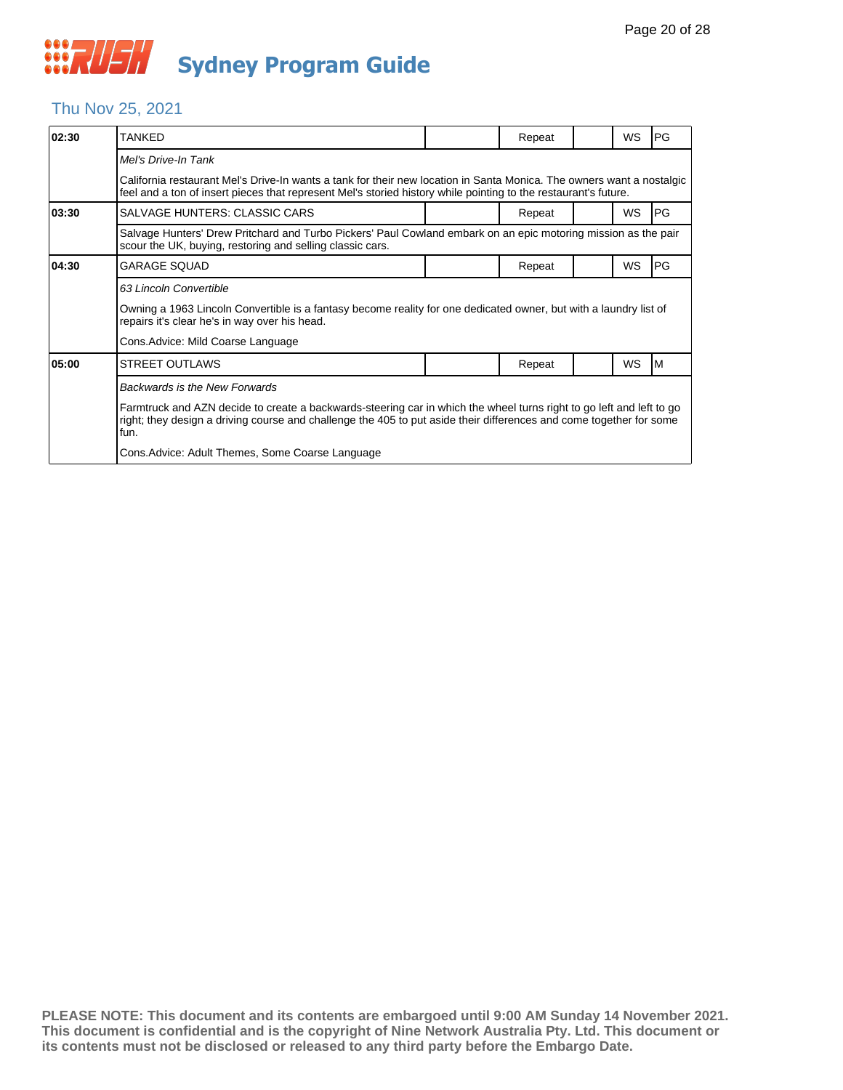#### Thu Nov 25, 2021

| 02:30 | <b>TANKFD</b>                                                                                                                                                                                                                                       |  | Repeat |  | WS        | PG |  |  |  |
|-------|-----------------------------------------------------------------------------------------------------------------------------------------------------------------------------------------------------------------------------------------------------|--|--------|--|-----------|----|--|--|--|
|       | Mel's Drive-In Tank                                                                                                                                                                                                                                 |  |        |  |           |    |  |  |  |
|       | California restaurant Mel's Drive-In wants a tank for their new location in Santa Monica. The owners want a nostalgic<br>feel and a ton of insert pieces that represent Mel's storied history while pointing to the restaurant's future.            |  |        |  |           |    |  |  |  |
| 03:30 | SALVAGE HUNTERS: CLASSIC CARS                                                                                                                                                                                                                       |  | Repeat |  | <b>WS</b> | PG |  |  |  |
|       | Salvage Hunters' Drew Pritchard and Turbo Pickers' Paul Cowland embark on an epic motoring mission as the pair<br>scour the UK, buying, restoring and selling classic cars.                                                                         |  |        |  |           |    |  |  |  |
| 04:30 | GARAGE SQUAD                                                                                                                                                                                                                                        |  | Repeat |  | WS        | PG |  |  |  |
|       | 63 Lincoln Convertible                                                                                                                                                                                                                              |  |        |  |           |    |  |  |  |
|       | Owning a 1963 Lincoln Convertible is a fantasy become reality for one dedicated owner, but with a laundry list of<br>repairs it's clear he's in way over his head.                                                                                  |  |        |  |           |    |  |  |  |
|       | Cons.Advice: Mild Coarse Language                                                                                                                                                                                                                   |  |        |  |           |    |  |  |  |
| 05:00 | <b>STREET OUTLAWS</b>                                                                                                                                                                                                                               |  | Repeat |  | WS        | ΙM |  |  |  |
|       | Backwards is the New Forwards                                                                                                                                                                                                                       |  |        |  |           |    |  |  |  |
|       | Farmtruck and AZN decide to create a backwards-steering car in which the wheel turns right to go left and left to go<br>right; they design a driving course and challenge the 405 to put aside their differences and come together for some<br>fun. |  |        |  |           |    |  |  |  |
|       | Cons. Advice: Adult Themes, Some Coarse Language                                                                                                                                                                                                    |  |        |  |           |    |  |  |  |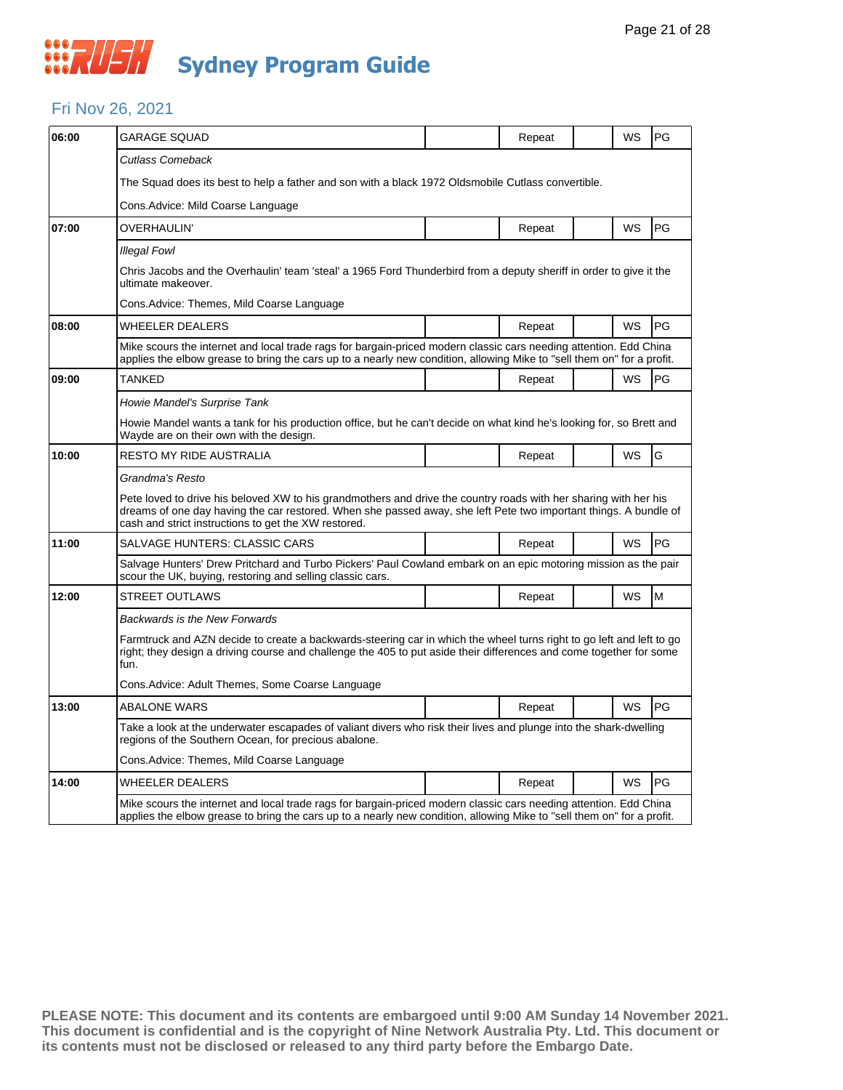## **WALEH Sydney Program Guide**

#### Fri Nov 26, 2021

| 06:00 | GARAGE SQUAD                                                                                                                                                                                                                                                                                 |  | Repeat |  | <b>WS</b> | PG |  |  |  |
|-------|----------------------------------------------------------------------------------------------------------------------------------------------------------------------------------------------------------------------------------------------------------------------------------------------|--|--------|--|-----------|----|--|--|--|
|       | Cutlass Comeback                                                                                                                                                                                                                                                                             |  |        |  |           |    |  |  |  |
|       | The Squad does its best to help a father and son with a black 1972 Oldsmobile Cutlass convertible.                                                                                                                                                                                           |  |        |  |           |    |  |  |  |
|       | Cons.Advice: Mild Coarse Language                                                                                                                                                                                                                                                            |  |        |  |           |    |  |  |  |
| 07:00 | OVERHAULIN'                                                                                                                                                                                                                                                                                  |  | Repeat |  | <b>WS</b> | PG |  |  |  |
|       | Illegal Fowl                                                                                                                                                                                                                                                                                 |  |        |  |           |    |  |  |  |
|       | Chris Jacobs and the Overhaulin' team 'steal' a 1965 Ford Thunderbird from a deputy sheriff in order to give it the<br>ultimate makeover.                                                                                                                                                    |  |        |  |           |    |  |  |  |
|       | Cons.Advice: Themes, Mild Coarse Language                                                                                                                                                                                                                                                    |  |        |  |           |    |  |  |  |
| 08:00 | WHEELER DEALERS                                                                                                                                                                                                                                                                              |  | Repeat |  | WS        | PG |  |  |  |
|       | Mike scours the internet and local trade rags for bargain-priced modern classic cars needing attention. Edd China<br>applies the elbow grease to bring the cars up to a nearly new condition, allowing Mike to "sell them on" for a profit.                                                  |  |        |  |           |    |  |  |  |
| 09:00 | TANKED                                                                                                                                                                                                                                                                                       |  | Repeat |  | <b>WS</b> | PG |  |  |  |
|       | Howie Mandel's Surprise Tank                                                                                                                                                                                                                                                                 |  |        |  |           |    |  |  |  |
|       | Howie Mandel wants a tank for his production office, but he can't decide on what kind he's looking for, so Brett and<br>Wayde are on their own with the design.                                                                                                                              |  |        |  |           |    |  |  |  |
| 10:00 | RESTO MY RIDE AUSTRALIA                                                                                                                                                                                                                                                                      |  | Repeat |  | <b>WS</b> | G  |  |  |  |
|       | Grandma's Resto                                                                                                                                                                                                                                                                              |  |        |  |           |    |  |  |  |
|       | Pete loved to drive his beloved XW to his grandmothers and drive the country roads with her sharing with her his<br>dreams of one day having the car restored. When she passed away, she left Pete two important things. A bundle of<br>cash and strict instructions to get the XW restored. |  |        |  |           |    |  |  |  |
| 11:00 | SALVAGE HUNTERS: CLASSIC CARS                                                                                                                                                                                                                                                                |  | Repeat |  | WS        | PG |  |  |  |
|       | Salvage Hunters' Drew Pritchard and Turbo Pickers' Paul Cowland embark on an epic motoring mission as the pair<br>scour the UK, buying, restoring and selling classic cars.                                                                                                                  |  |        |  |           |    |  |  |  |
| 12:00 | <b>STREET OUTLAWS</b>                                                                                                                                                                                                                                                                        |  | Repeat |  | WS        | M  |  |  |  |
|       | Backwards is the New Forwards                                                                                                                                                                                                                                                                |  |        |  |           |    |  |  |  |
|       | Farmtruck and AZN decide to create a backwards-steering car in which the wheel turns right to go left and left to go<br>right; they design a driving course and challenge the 405 to put aside their differences and come together for some<br>fun.                                          |  |        |  |           |    |  |  |  |
|       | Cons.Advice: Adult Themes, Some Coarse Language                                                                                                                                                                                                                                              |  |        |  |           |    |  |  |  |
| 13:00 | <b>ABALONE WARS</b>                                                                                                                                                                                                                                                                          |  | Repeat |  | <b>WS</b> | PG |  |  |  |
|       | Take a look at the underwater escapades of valiant divers who risk their lives and plunge into the shark-dwelling<br>regions of the Southern Ocean, for precious abalone.                                                                                                                    |  |        |  |           |    |  |  |  |
|       | Cons.Advice: Themes, Mild Coarse Language                                                                                                                                                                                                                                                    |  |        |  |           |    |  |  |  |
| 14:00 | WHEELER DEALERS                                                                                                                                                                                                                                                                              |  | Repeat |  | <b>WS</b> | PG |  |  |  |
|       | Mike scours the internet and local trade rags for bargain-priced modern classic cars needing attention. Edd China<br>applies the elbow grease to bring the cars up to a nearly new condition, allowing Mike to "sell them on" for a profit.                                                  |  |        |  |           |    |  |  |  |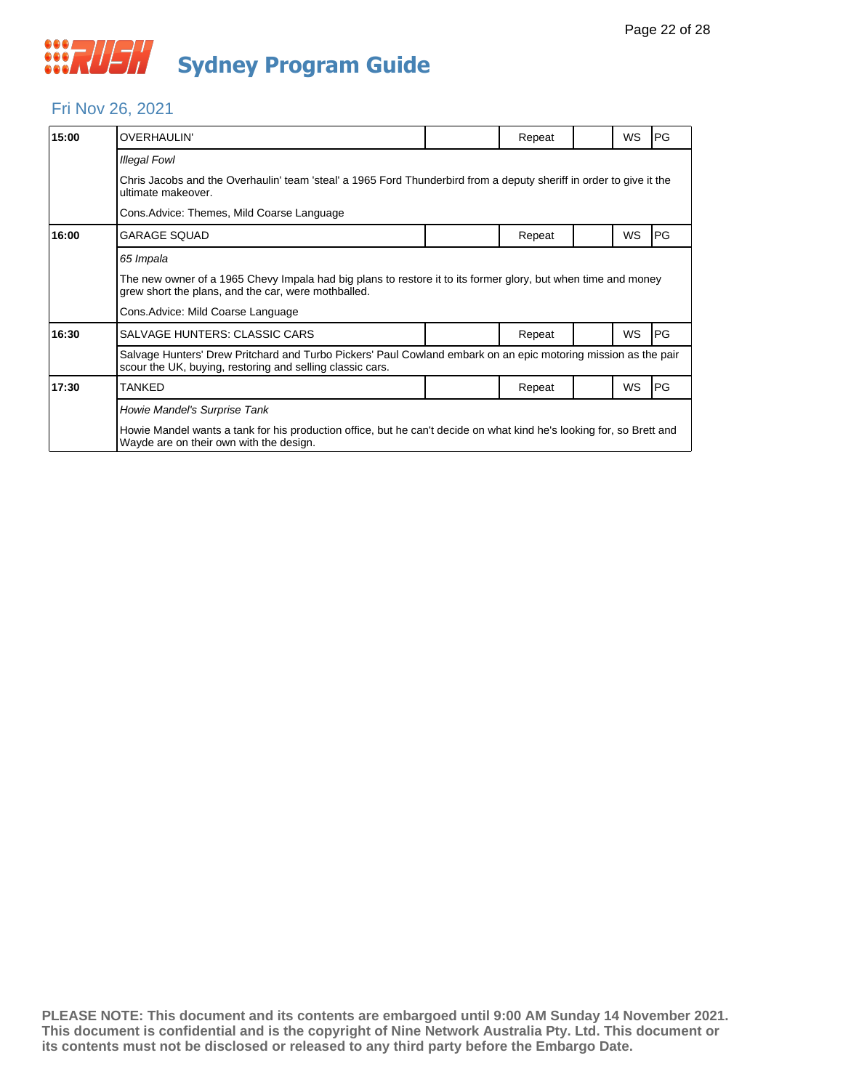#### Fri Nov 26, 2021

| 15:00 | <b>OVERHAULIN'</b>                                                                                                                                                          |                                                                                                                     | Repeat |  | WS | PG         |  |  |  |  |
|-------|-----------------------------------------------------------------------------------------------------------------------------------------------------------------------------|---------------------------------------------------------------------------------------------------------------------|--------|--|----|------------|--|--|--|--|
|       | <b>Illegal Fowl</b>                                                                                                                                                         |                                                                                                                     |        |  |    |            |  |  |  |  |
|       | ultimate makeover.                                                                                                                                                          | Chris Jacobs and the Overhaulin' team 'steal' a 1965 Ford Thunderbird from a deputy sheriff in order to give it the |        |  |    |            |  |  |  |  |
|       | Cons. Advice: Themes, Mild Coarse Language                                                                                                                                  |                                                                                                                     |        |  |    |            |  |  |  |  |
| 16:00 | <b>GARAGE SQUAD</b>                                                                                                                                                         |                                                                                                                     | Repeat |  | WS | PG         |  |  |  |  |
|       | 65 Impala                                                                                                                                                                   |                                                                                                                     |        |  |    |            |  |  |  |  |
|       | The new owner of a 1965 Chevy Impala had big plans to restore it to its former glory, but when time and money<br>grew short the plans, and the car, were mothballed.        |                                                                                                                     |        |  |    |            |  |  |  |  |
|       | Cons. Advice: Mild Coarse Language                                                                                                                                          |                                                                                                                     |        |  |    |            |  |  |  |  |
| 16:30 | SALVAGE HUNTERS: CLASSIC CARS                                                                                                                                               |                                                                                                                     | Repeat |  | WS | PG         |  |  |  |  |
|       | Salvage Hunters' Drew Pritchard and Turbo Pickers' Paul Cowland embark on an epic motoring mission as the pair<br>scour the UK, buying, restoring and selling classic cars. |                                                                                                                     |        |  |    |            |  |  |  |  |
| 17:30 | TANKED                                                                                                                                                                      |                                                                                                                     | Repeat |  | WS | <b>IPG</b> |  |  |  |  |
|       | Howie Mandel's Surprise Tank                                                                                                                                                |                                                                                                                     |        |  |    |            |  |  |  |  |
|       | Howie Mandel wants a tank for his production office, but he can't decide on what kind he's looking for, so Brett and<br>Wayde are on their own with the design.             |                                                                                                                     |        |  |    |            |  |  |  |  |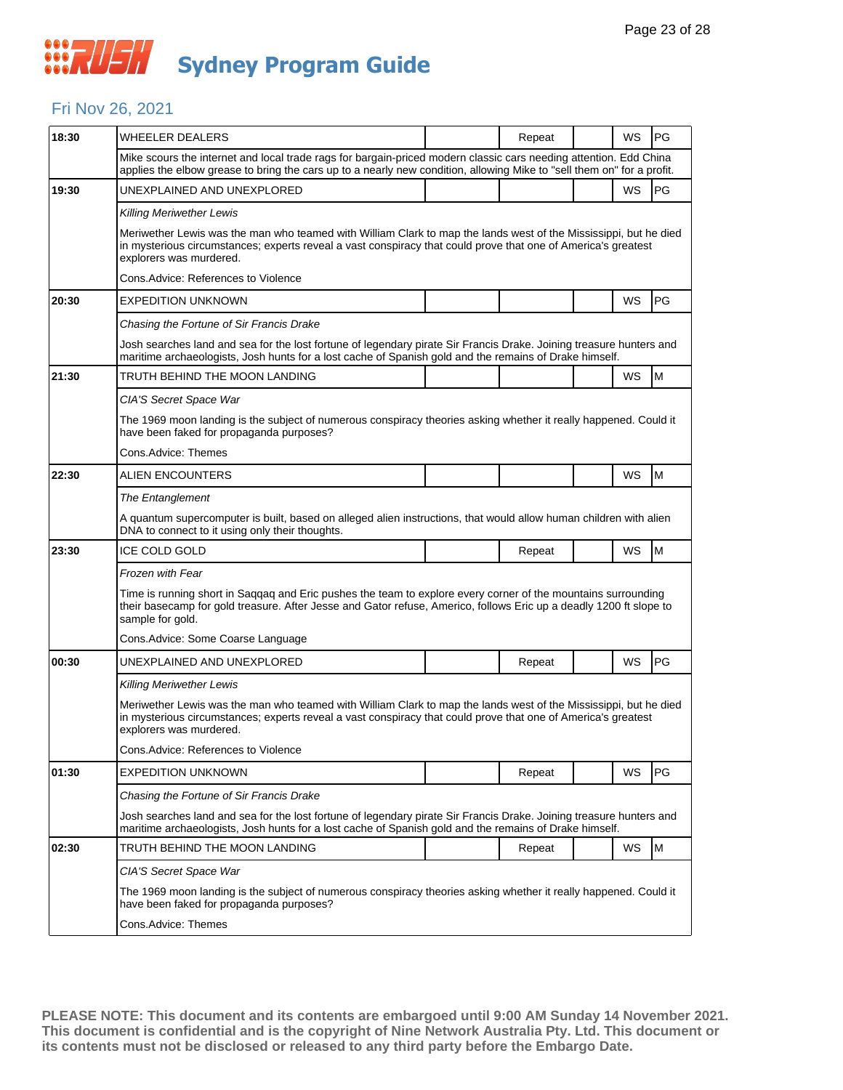### Fri Nov 26, 2021

| 18:30 | <b>WHEELER DEALERS</b>                                                                                                                                                                                                                                       |  | Repeat |  | WS | PG        |  |  |  |
|-------|--------------------------------------------------------------------------------------------------------------------------------------------------------------------------------------------------------------------------------------------------------------|--|--------|--|----|-----------|--|--|--|
|       | Mike scours the internet and local trade rags for bargain-priced modern classic cars needing attention. Edd China<br>applies the elbow grease to bring the cars up to a nearly new condition, allowing Mike to "sell them on" for a profit.                  |  |        |  |    |           |  |  |  |
| 19:30 | UNEXPLAINED AND UNEXPLORED                                                                                                                                                                                                                                   |  |        |  | WS | PG        |  |  |  |
|       | Killing Meriwether Lewis                                                                                                                                                                                                                                     |  |        |  |    |           |  |  |  |
|       | Meriwether Lewis was the man who teamed with William Clark to map the lands west of the Mississippi, but he died<br>in mysterious circumstances; experts reveal a vast conspiracy that could prove that one of America's greatest<br>explorers was murdered. |  |        |  |    |           |  |  |  |
|       | Cons. Advice: References to Violence                                                                                                                                                                                                                         |  |        |  |    |           |  |  |  |
| 20:30 | <b>EXPEDITION UNKNOWN</b>                                                                                                                                                                                                                                    |  |        |  | WS | PG        |  |  |  |
|       | Chasing the Fortune of Sir Francis Drake                                                                                                                                                                                                                     |  |        |  |    |           |  |  |  |
|       | Josh searches land and sea for the lost fortune of legendary pirate Sir Francis Drake. Joining treasure hunters and<br>maritime archaeologists, Josh hunts for a lost cache of Spanish gold and the remains of Drake himself.                                |  |        |  |    |           |  |  |  |
| 21:30 | TRUTH BEHIND THE MOON LANDING                                                                                                                                                                                                                                |  |        |  | WS | M         |  |  |  |
|       | CIA'S Secret Space War                                                                                                                                                                                                                                       |  |        |  |    |           |  |  |  |
|       | The 1969 moon landing is the subject of numerous conspiracy theories asking whether it really happened. Could it<br>have been faked for propaganda purposes?                                                                                                 |  |        |  |    |           |  |  |  |
|       | Cons.Advice: Themes                                                                                                                                                                                                                                          |  |        |  |    |           |  |  |  |
| 22:30 | <b>ALIEN ENCOUNTERS</b>                                                                                                                                                                                                                                      |  |        |  | WS | M         |  |  |  |
|       | The Entanglement                                                                                                                                                                                                                                             |  |        |  |    |           |  |  |  |
|       | A quantum supercomputer is built, based on alleged alien instructions, that would allow human children with alien<br>DNA to connect to it using only their thoughts.                                                                                         |  |        |  |    |           |  |  |  |
| 23:30 | ICE COLD GOLD                                                                                                                                                                                                                                                |  | Repeat |  | WS | M         |  |  |  |
|       | <b>Frozen with Fear</b>                                                                                                                                                                                                                                      |  |        |  |    |           |  |  |  |
|       | Time is running short in Saqqaq and Eric pushes the team to explore every corner of the mountains surrounding<br>their basecamp for gold treasure. After Jesse and Gator refuse, Americo, follows Eric up a deadly 1200 ft slope to<br>sample for gold.      |  |        |  |    |           |  |  |  |
|       | Cons.Advice: Some Coarse Language                                                                                                                                                                                                                            |  |        |  |    |           |  |  |  |
| 00:30 | UNEXPLAINED AND UNEXPLORED                                                                                                                                                                                                                                   |  | Repeat |  | WS | PG        |  |  |  |
|       | <b>Killing Meriwether Lewis</b>                                                                                                                                                                                                                              |  |        |  |    |           |  |  |  |
|       | Meriwether Lewis was the man who teamed with William Clark to map the lands west of the Mississippi, but he died<br>in mysterious circumstances; experts reveal a vast conspiracy that could prove that one of America's greatest<br>explorers was murdered. |  |        |  |    |           |  |  |  |
|       | Cons. Advice: References to Violence                                                                                                                                                                                                                         |  |        |  |    |           |  |  |  |
| 01:30 | <b>EXPEDITION UNKNOWN</b>                                                                                                                                                                                                                                    |  | Repeat |  | WS | <b>PG</b> |  |  |  |
|       | Chasing the Fortune of Sir Francis Drake                                                                                                                                                                                                                     |  |        |  |    |           |  |  |  |
|       | Josh searches land and sea for the lost fortune of legendary pirate Sir Francis Drake. Joining treasure hunters and<br>maritime archaeologists, Josh hunts for a lost cache of Spanish gold and the remains of Drake himself.                                |  |        |  |    |           |  |  |  |
| 02:30 | TRUTH BEHIND THE MOON LANDING                                                                                                                                                                                                                                |  | Repeat |  | WS | M         |  |  |  |
|       | CIA'S Secret Space War                                                                                                                                                                                                                                       |  |        |  |    |           |  |  |  |
|       | The 1969 moon landing is the subject of numerous conspiracy theories asking whether it really happened. Could it<br>have been faked for propaganda purposes?                                                                                                 |  |        |  |    |           |  |  |  |
|       | Cons.Advice: Themes                                                                                                                                                                                                                                          |  |        |  |    |           |  |  |  |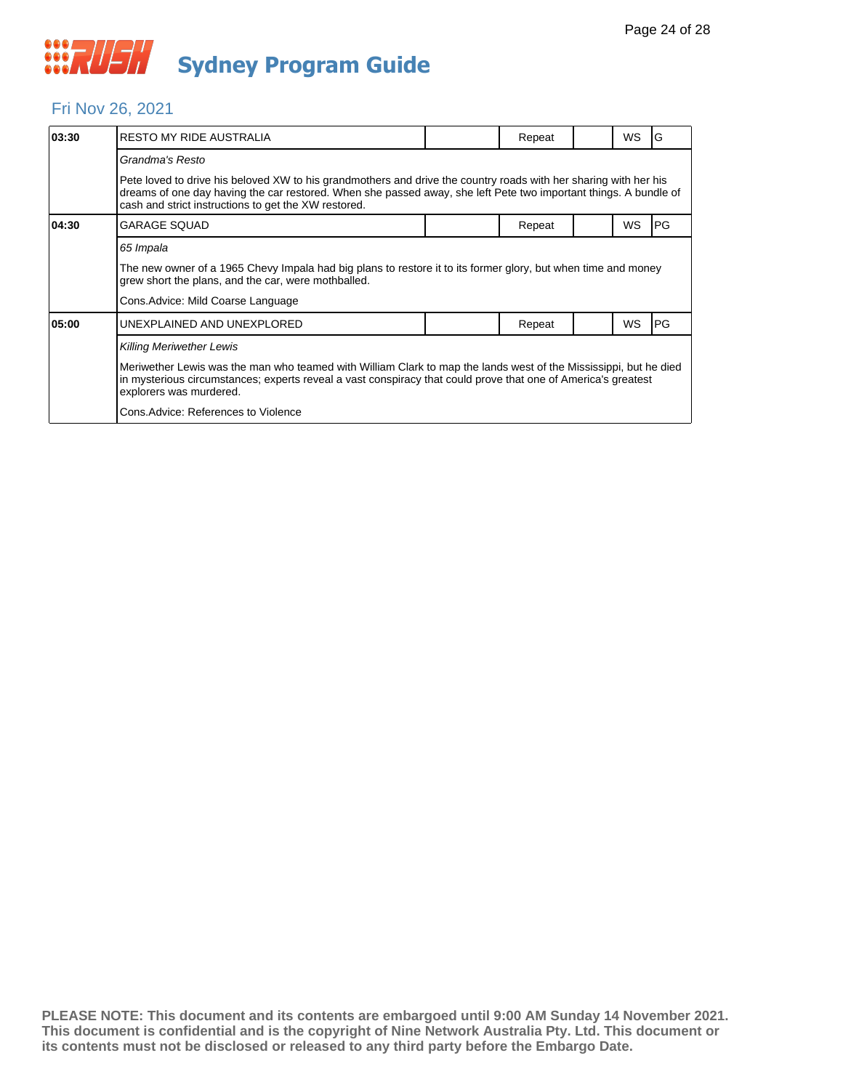

#### Fri Nov 26, 2021

| 03:30 | <b>RESTO MY RIDE AUSTRALIA</b>                                                                                                                                                                                                                                                                                                          |  | Repeat |  | WS | G         |  |  |  |
|-------|-----------------------------------------------------------------------------------------------------------------------------------------------------------------------------------------------------------------------------------------------------------------------------------------------------------------------------------------|--|--------|--|----|-----------|--|--|--|
|       | Grandma's Resto                                                                                                                                                                                                                                                                                                                         |  |        |  |    |           |  |  |  |
|       | Pete loved to drive his beloved XW to his grandmothers and drive the country roads with her sharing with her his<br>dreams of one day having the car restored. When she passed away, she left Pete two important things. A bundle of<br>cash and strict instructions to get the XW restored.                                            |  |        |  |    |           |  |  |  |
| 04:30 | <b>GARAGE SQUAD</b>                                                                                                                                                                                                                                                                                                                     |  | Repeat |  | WS | <b>PG</b> |  |  |  |
|       | 65 Impala<br>The new owner of a 1965 Chevy Impala had big plans to restore it to its former glory, but when time and money<br>grew short the plans, and the car, were mothballed.<br>Cons. Advice: Mild Coarse Language                                                                                                                 |  |        |  |    |           |  |  |  |
| 05:00 | UNEXPLAINED AND UNEXPLORED                                                                                                                                                                                                                                                                                                              |  | Repeat |  | WS | PG        |  |  |  |
|       | <b>Killing Meriwether Lewis</b><br>Meriwether Lewis was the man who teamed with William Clark to map the lands west of the Mississippi, but he died<br>in mysterious circumstances; experts reveal a vast conspiracy that could prove that one of America's greatest<br>explorers was murdered.<br>Cons. Advice: References to Violence |  |        |  |    |           |  |  |  |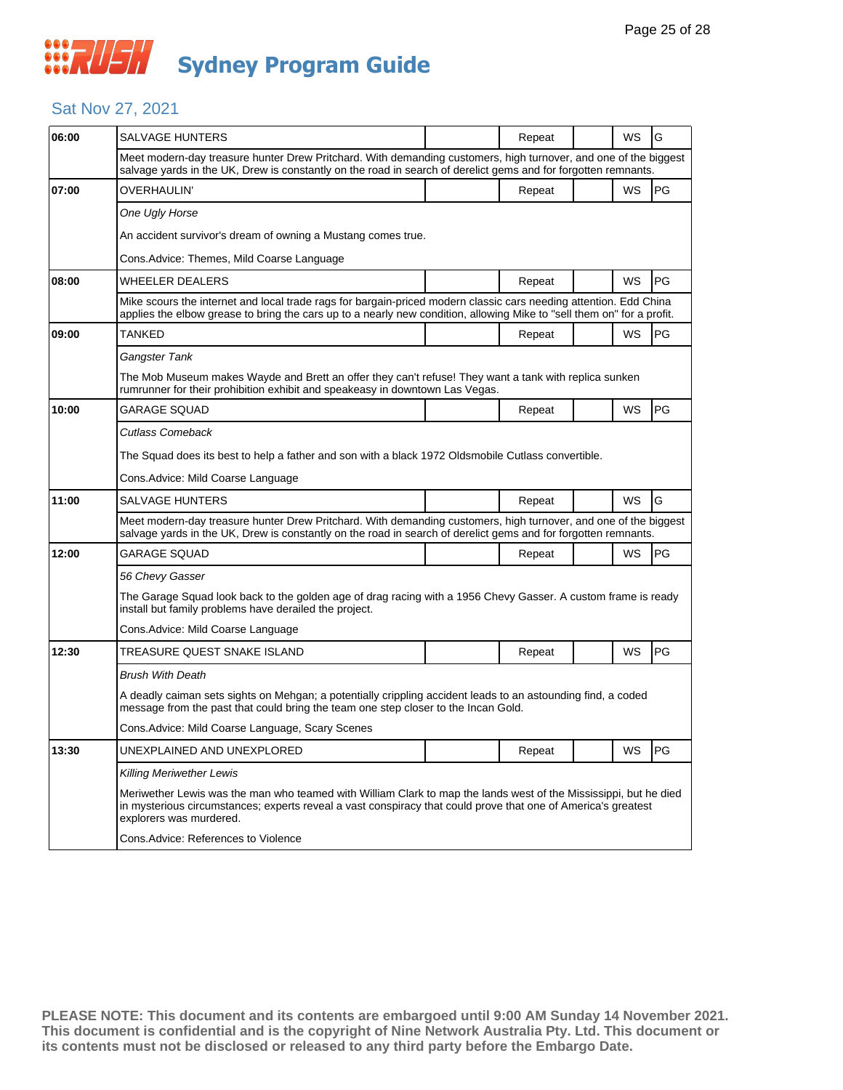#### Sat Nov 27, 2021

| 06:00 | SALVAGE HUNTERS                                                                                                                                                                                                                                              |  | Repeat |  | WS        | G  |  |  |
|-------|--------------------------------------------------------------------------------------------------------------------------------------------------------------------------------------------------------------------------------------------------------------|--|--------|--|-----------|----|--|--|
|       | Meet modern-day treasure hunter Drew Pritchard. With demanding customers, high turnover, and one of the biggest<br>salvage yards in the UK, Drew is constantly on the road in search of derelict gems and for forgotten remnants.                            |  |        |  |           |    |  |  |
| 07:00 | OVERHAULIN'                                                                                                                                                                                                                                                  |  | Repeat |  | WS        | PG |  |  |
|       | One Ugly Horse                                                                                                                                                                                                                                               |  |        |  |           |    |  |  |
|       | An accident survivor's dream of owning a Mustang comes true.                                                                                                                                                                                                 |  |        |  |           |    |  |  |
|       | Cons.Advice: Themes, Mild Coarse Language                                                                                                                                                                                                                    |  |        |  |           |    |  |  |
| 08:00 | WHEELER DEALERS                                                                                                                                                                                                                                              |  | Repeat |  | WS        | PG |  |  |
|       | Mike scours the internet and local trade rags for bargain-priced modern classic cars needing attention. Edd China<br>applies the elbow grease to bring the cars up to a nearly new condition, allowing Mike to "sell them on" for a profit.                  |  |        |  |           |    |  |  |
| 09:00 | TANKED                                                                                                                                                                                                                                                       |  | Repeat |  | WS        | PG |  |  |
|       | Gangster Tank                                                                                                                                                                                                                                                |  |        |  |           |    |  |  |
|       | The Mob Museum makes Wayde and Brett an offer they can't refuse! They want a tank with replica sunken<br>rumrunner for their prohibition exhibit and speakeasy in downtown Las Vegas.                                                                        |  |        |  |           |    |  |  |
| 10:00 | <b>GARAGE SQUAD</b>                                                                                                                                                                                                                                          |  | Repeat |  | WS        | PG |  |  |
|       | Cutlass Comeback                                                                                                                                                                                                                                             |  |        |  |           |    |  |  |
|       | The Squad does its best to help a father and son with a black 1972 Oldsmobile Cutlass convertible.                                                                                                                                                           |  |        |  |           |    |  |  |
|       | Cons.Advice: Mild Coarse Language                                                                                                                                                                                                                            |  |        |  |           |    |  |  |
| 11:00 | SALVAGE HUNTERS                                                                                                                                                                                                                                              |  | Repeat |  | <b>WS</b> | G  |  |  |
|       | Meet modern-day treasure hunter Drew Pritchard. With demanding customers, high turnover, and one of the biggest<br>salvage yards in the UK, Drew is constantly on the road in search of derelict gems and for forgotten remnants.                            |  |        |  |           |    |  |  |
| 12:00 | GARAGE SQUAD                                                                                                                                                                                                                                                 |  | Repeat |  | WS        | PG |  |  |
|       | 56 Chevy Gasser                                                                                                                                                                                                                                              |  |        |  |           |    |  |  |
|       | The Garage Squad look back to the golden age of drag racing with a 1956 Chevy Gasser. A custom frame is ready<br>install but family problems have derailed the project.                                                                                      |  |        |  |           |    |  |  |
|       | Cons.Advice: Mild Coarse Language                                                                                                                                                                                                                            |  |        |  |           |    |  |  |
| 12:30 | TREASURE QUEST SNAKE ISLAND                                                                                                                                                                                                                                  |  | Repeat |  | WS        | PG |  |  |
|       | <b>Brush With Death</b>                                                                                                                                                                                                                                      |  |        |  |           |    |  |  |
|       | A deadly caiman sets sights on Mehgan; a potentially crippling accident leads to an astounding find, a coded<br>message from the past that could bring the team one step closer to the Incan Gold.                                                           |  |        |  |           |    |  |  |
|       | Cons. Advice: Mild Coarse Language, Scary Scenes                                                                                                                                                                                                             |  |        |  |           |    |  |  |
| 13:30 | UNEXPLAINED AND UNEXPLORED                                                                                                                                                                                                                                   |  | Repeat |  | WS        | PG |  |  |
|       | <b>Killing Meriwether Lewis</b>                                                                                                                                                                                                                              |  |        |  |           |    |  |  |
|       | Meriwether Lewis was the man who teamed with William Clark to map the lands west of the Mississippi, but he died<br>in mysterious circumstances; experts reveal a vast conspiracy that could prove that one of America's greatest<br>explorers was murdered. |  |        |  |           |    |  |  |
|       | Cons.Advice: References to Violence                                                                                                                                                                                                                          |  |        |  |           |    |  |  |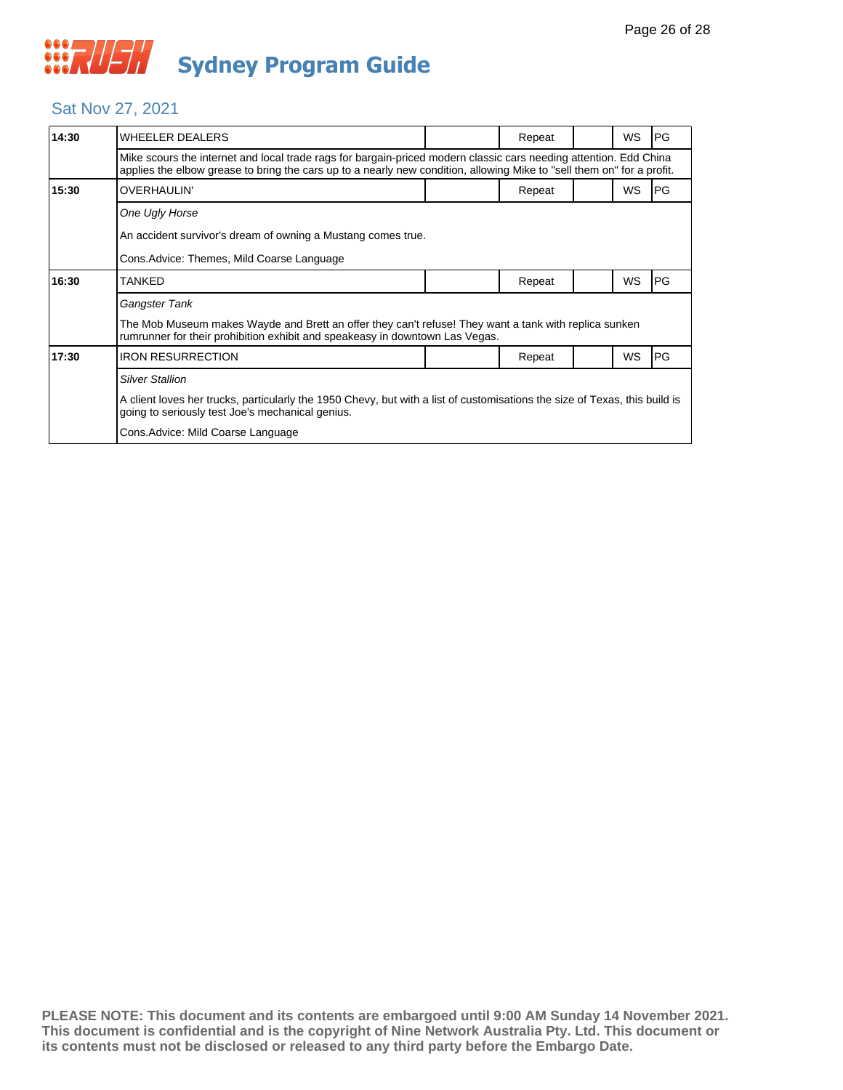#### Sat Nov 27, 2021

| 14:30 | <b>WHEELER DEALERS</b>                                                                                                                                                                                                                      |  | Repeat |  | <b>WS</b> | IPG.       |  |  |
|-------|---------------------------------------------------------------------------------------------------------------------------------------------------------------------------------------------------------------------------------------------|--|--------|--|-----------|------------|--|--|
|       | Mike scours the internet and local trade rags for bargain-priced modern classic cars needing attention. Edd China<br>applies the elbow grease to bring the cars up to a nearly new condition, allowing Mike to "sell them on" for a profit. |  |        |  |           |            |  |  |
| 15:30 | <b>OVERHAULIN'</b>                                                                                                                                                                                                                          |  | Repeat |  | <b>WS</b> | IPG.       |  |  |
|       | One Ugly Horse                                                                                                                                                                                                                              |  |        |  |           |            |  |  |
|       | An accident survivor's dream of owning a Mustang comes true.                                                                                                                                                                                |  |        |  |           |            |  |  |
|       | Cons. Advice: Themes, Mild Coarse Language                                                                                                                                                                                                  |  |        |  |           |            |  |  |
| 16:30 | <b>TANKED</b>                                                                                                                                                                                                                               |  | Repeat |  | WS        | <b>IPG</b> |  |  |
|       | Gangster Tank                                                                                                                                                                                                                               |  |        |  |           |            |  |  |
|       | The Mob Museum makes Wayde and Brett an offer they can't refuse! They want a tank with replica sunken<br>rumrunner for their prohibition exhibit and speakeasy in downtown Las Vegas.                                                       |  |        |  |           |            |  |  |
| 17:30 | <b>IRON RESURRECTION</b>                                                                                                                                                                                                                    |  | Repeat |  | WS        | <b>PG</b>  |  |  |
|       | <b>Silver Stallion</b>                                                                                                                                                                                                                      |  |        |  |           |            |  |  |
|       | A client loves her trucks, particularly the 1950 Chevy, but with a list of customisations the size of Texas, this build is<br>going to seriously test Joe's mechanical genius.                                                              |  |        |  |           |            |  |  |
|       | Cons. Advice: Mild Coarse Language                                                                                                                                                                                                          |  |        |  |           |            |  |  |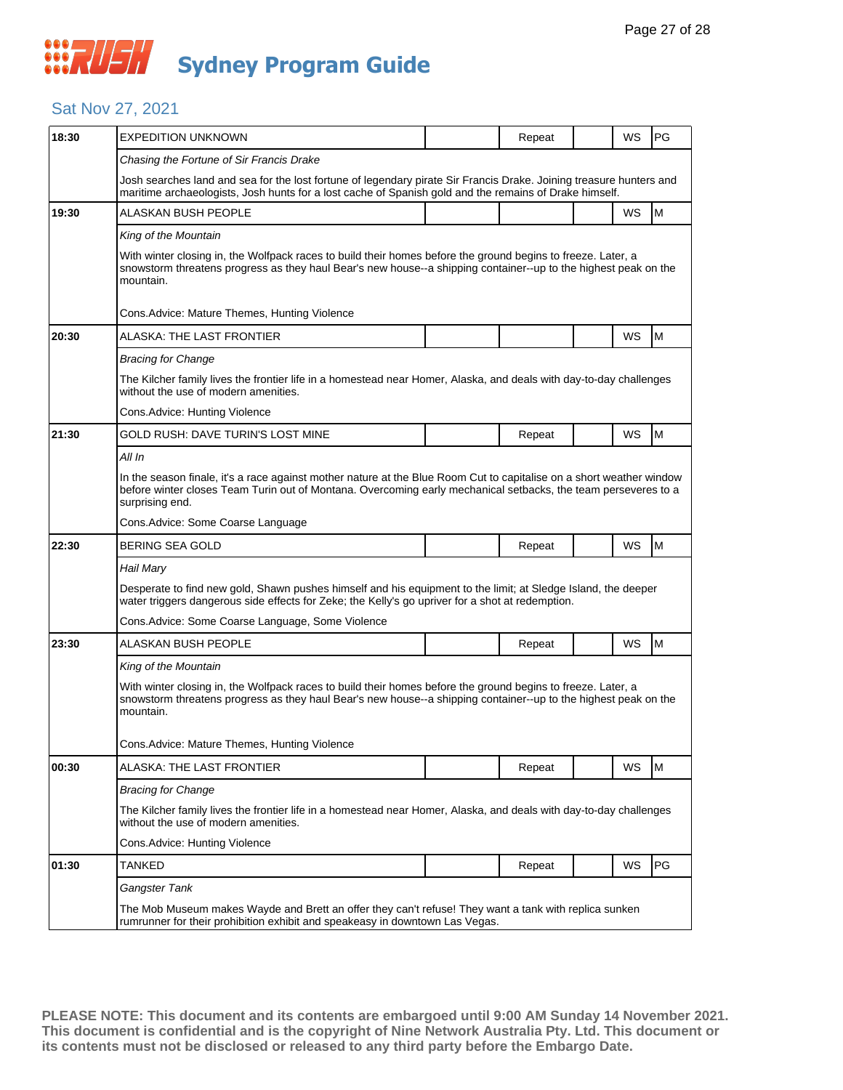## **WAUSH Sydney Program Guide**

#### Sat Nov 27, 2021

| 18:30 | <b>EXPEDITION UNKNOWN</b>                                                                                                                                                                                                                                 |  | Repeat |  | WS        | PG |  |  |
|-------|-----------------------------------------------------------------------------------------------------------------------------------------------------------------------------------------------------------------------------------------------------------|--|--------|--|-----------|----|--|--|
|       | Chasing the Fortune of Sir Francis Drake                                                                                                                                                                                                                  |  |        |  |           |    |  |  |
|       | Josh searches land and sea for the lost fortune of legendary pirate Sir Francis Drake. Joining treasure hunters and<br>maritime archaeologists, Josh hunts for a lost cache of Spanish gold and the remains of Drake himself.                             |  |        |  |           |    |  |  |
| 19:30 | ALASKAN BUSH PEOPLE                                                                                                                                                                                                                                       |  |        |  | WS        | M  |  |  |
|       | King of the Mountain                                                                                                                                                                                                                                      |  |        |  |           |    |  |  |
|       | With winter closing in, the Wolfpack races to build their homes before the ground begins to freeze. Later, a<br>snowstorm threatens progress as they haul Bear's new house--a shipping container--up to the highest peak on the<br>mountain.              |  |        |  |           |    |  |  |
|       | Cons.Advice: Mature Themes, Hunting Violence                                                                                                                                                                                                              |  |        |  |           |    |  |  |
| 20:30 | ALASKA: THE LAST FRONTIER                                                                                                                                                                                                                                 |  |        |  | WS        | M  |  |  |
|       | <b>Bracing for Change</b>                                                                                                                                                                                                                                 |  |        |  |           |    |  |  |
|       | The Kilcher family lives the frontier life in a homestead near Homer, Alaska, and deals with day-to-day challenges<br>without the use of modern amenities.                                                                                                |  |        |  |           |    |  |  |
|       | Cons. Advice: Hunting Violence                                                                                                                                                                                                                            |  |        |  |           |    |  |  |
| 21:30 | GOLD RUSH: DAVE TURIN'S LOST MINE                                                                                                                                                                                                                         |  | Repeat |  | WS        | M  |  |  |
|       | All In                                                                                                                                                                                                                                                    |  |        |  |           |    |  |  |
|       | In the season finale, it's a race against mother nature at the Blue Room Cut to capitalise on a short weather window<br>before winter closes Team Turin out of Montana. Overcoming early mechanical setbacks, the team perseveres to a<br>surprising end. |  |        |  |           |    |  |  |
|       | Cons.Advice: Some Coarse Language                                                                                                                                                                                                                         |  |        |  |           |    |  |  |
| 22:30 | BERING SEA GOLD                                                                                                                                                                                                                                           |  | Repeat |  | <b>WS</b> | M  |  |  |
|       | Hail Mary                                                                                                                                                                                                                                                 |  |        |  |           |    |  |  |
|       | Desperate to find new gold, Shawn pushes himself and his equipment to the limit; at Sledge Island, the deeper<br>water triggers dangerous side effects for Zeke; the Kelly's go upriver for a shot at redemption.                                         |  |        |  |           |    |  |  |
|       | Cons. Advice: Some Coarse Language, Some Violence                                                                                                                                                                                                         |  |        |  |           |    |  |  |
| 23:30 | ALASKAN BUSH PEOPLE                                                                                                                                                                                                                                       |  | Repeat |  | WS        | M  |  |  |
|       | King of the Mountain                                                                                                                                                                                                                                      |  |        |  |           |    |  |  |
|       | With winter closing in, the Wolfpack races to build their homes before the ground begins to freeze. Later, a<br>snowstorm threatens progress as they haul Bear's new house--a shipping container--up to the highest peak on the<br>mountain.              |  |        |  |           |    |  |  |
|       | Cons.Advice: Mature Themes, Hunting Violence                                                                                                                                                                                                              |  |        |  |           |    |  |  |
| 00:30 | ALASKA: THE LAST FRONTIER                                                                                                                                                                                                                                 |  | Repeat |  | <b>WS</b> | M  |  |  |
|       | <b>Bracing for Change</b>                                                                                                                                                                                                                                 |  |        |  |           |    |  |  |
|       | The Kilcher family lives the frontier life in a homestead near Homer, Alaska, and deals with day-to-day challenges<br>without the use of modern amenities.                                                                                                |  |        |  |           |    |  |  |
|       | Cons.Advice: Hunting Violence                                                                                                                                                                                                                             |  |        |  |           |    |  |  |
| 01:30 | TANKED                                                                                                                                                                                                                                                    |  | Repeat |  | WS        | PG |  |  |
|       | Gangster Tank                                                                                                                                                                                                                                             |  |        |  |           |    |  |  |
|       | The Mob Museum makes Wayde and Brett an offer they can't refuse! They want a tank with replica sunken<br>rumrunner for their prohibition exhibit and speakeasy in downtown Las Vegas.                                                                     |  |        |  |           |    |  |  |
|       |                                                                                                                                                                                                                                                           |  |        |  |           |    |  |  |